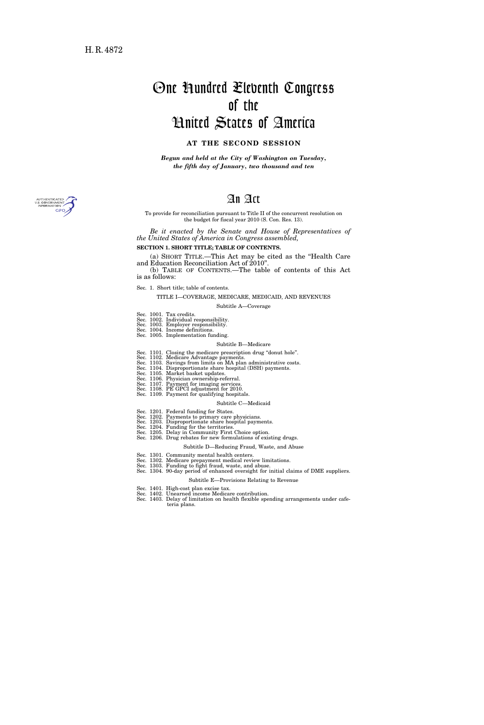# One Hundred Eleventh Congress of the United States of America

# **AT THE SECOND SESSION**

*Begun and held at the City of Washington on Tuesday, the fifth day of January, two thousand and ten* 

# An Act

To provide for reconciliation pursuant to Title II of the concurrent resolution on the budget for fiscal year 2010 (S. Con. Res. 13).

*Be it enacted by the Senate and House of Representatives of the United States of America in Congress assembled,* 

# **SECTION 1. SHORT TITLE; TABLE OF CONTENTS.**

(a) SHORT TITLE.—This Act may be cited as the ''Health Care and Education Reconciliation Act of 2010''.

(b) TABLE OF CONTENTS.—The table of contents of this Act is as follows:

Sec. 1. Short title; table of contents.

TITLE I—COVERAGE, MEDICARE, MEDICAID, AND REVENUES Subtitle A—Coverage

- 
- Sec. 1001. Tax credits. Sec. 1002. Individual responsibility. Sec. 1003. Employer responsibility. Sec. 1004. Income definitions.
- 
- Sec. 1005. Implementation funding.

# Subtitle B—Medicare

- 
- Sec. 1101. Closing the medicare prescription drug "donut hole".<br>Sec. 1102. Medicare Advantage payments.<br>Sec. 1103. Savings from limits on MA plan administrative costs.<br>Sec. 1104. Disproportionate share hospital (DSH) payme
- 
- 
- 
- Sec. 1107. Payment for imaging services. Sec. 1108. PE GPCI adjustment for 2010. Sec. 1109. Payment for qualifying hospitals.
	-

#### Subtitle C—Medicaid

- 
- Sec. 1201. Federal funding for States. Sec. 1202. Payments to primary care physicians.
- 
- Sec. 1203. Disproportionate share hospital payments. Sec. 1204. Funding for the territories. Sec. 1205. Delay in Community First Choice option.
- Sec. 1206. Drug rebates for new formulations of existing drugs.

# Subtitle D—Reducing Fraud, Waste, and Abuse

- 
- 
- 
- Sec. 1301. Community mental health centers.<br>Sec. 1302. Medicare prepayment medical review limitations.<br>Sec. 1303. Funding to fight fraud, waste, and abuse.<br>Sec. 1304. 90-day period of enhanced oversight for initial claims
	- Subtitle E—Provisions Relating to Revenue
- Sec. 1401. High-cost plan excise tax. Sec. 1402. Unearned income Medicare contribution.
- Sec. 1403. Delay of limitation on health flexible spending arrangements under cafeteria plans.

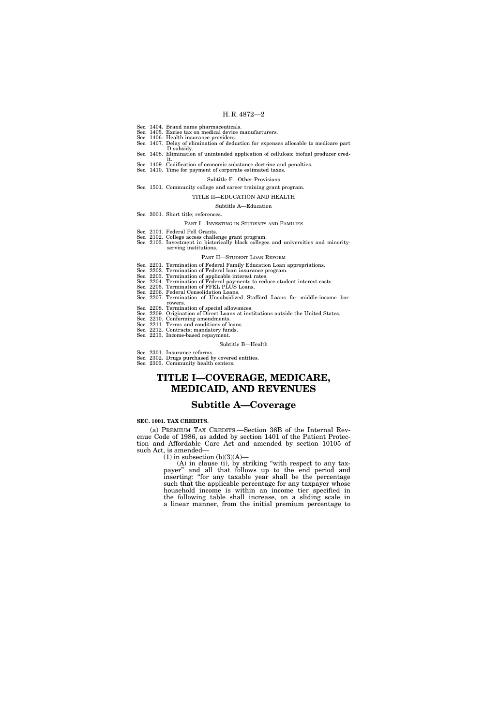- Sec. 1404. Brand name pharmaceuticals.
- Sec. 1405. Excise tax on medical device manufacturers. Sec. 1406. Health insurance providers.
- Sec. 1407. Delay of elimination of deduction for expenses allocable to medicare part
- D subsidy. Sec. 1408. Elimination of unintended application of cellulosic biofuel producer cred-
- it. Sec. 1409. Codification of economic substance doctrine and penalties.
- Sec. 1410. Time for payment of corporate estimated taxes.

#### Subtitle F—Other Provisions

Sec. 1501. Community college and career training grant program.

# TITLE II—EDUCATION AND HEALTH

#### Subtitle A—Education

- Sec. 2001. Short title; references.
	- PART I—INVESTING IN STUDENTS AND FAMILIES
- Sec. 2101. Federal Pell Grants.
- Sec. 2102. College access challenge grant program. Sec. 2103. Investment in historically black colleges and universities and minorityserving institutions.

#### PART II—STUDENT LOAN REFORM

- Sec. 2201. Termination of Federal Family Education Loan appropriations.
- Sec. 2202. Termination of Federal loan insurance program.
- Sec. 2203. Termination of applicable interest rates. Sec. 2204. Termination of Federal payments to reduce student interest costs.
- Sec. 2205. Termination of FFEL PLUS Loans.
- Sec. 2206. Federal Consolidation Loans.
- Sec. 2207. Termination of Unsubsidized Stafford Loans for middle-income borrowers.
- Sec. 2208. Termination of special allowances.
- Sec. 2209. Origination of Direct Loans at institutions outside the United States. Sec. 2210. Conforming amendments.
- Sec. 2211. Terms and conditions of loans.
- Sec. 2212. Contracts; mandatory funds.
- Sec. 2213. Income-based repayment.
	- Subtitle B—Health
- Sec. 2301. Insurance reforms.
- Sec. 2302. Drugs purchased by covered entities. Sec. 2303. Community health centers.

# **TITLE I—COVERAGE, MEDICARE, MEDICAID, AND REVENUES**

# **Subtitle A—Coverage**

# **SEC. 1001. TAX CREDITS.**

(a) PREMIUM TAX CREDITS.—Section 36B of the Internal Revenue Code of 1986, as added by section 1401 of the Patient Protection and Affordable Care Act and amended by section 10105 of such Act, is amended—

 $(1)$  in subsection  $(b)(3)(A)$ —

(A) in clause (i), by striking ''with respect to any taxpayer'' and all that follows up to the end period and inserting: ''for any taxable year shall be the percentage such that the applicable percentage for any taxpayer whose household income is within an income tier specified in the following table shall increase, on a sliding scale in a linear manner, from the initial premium percentage to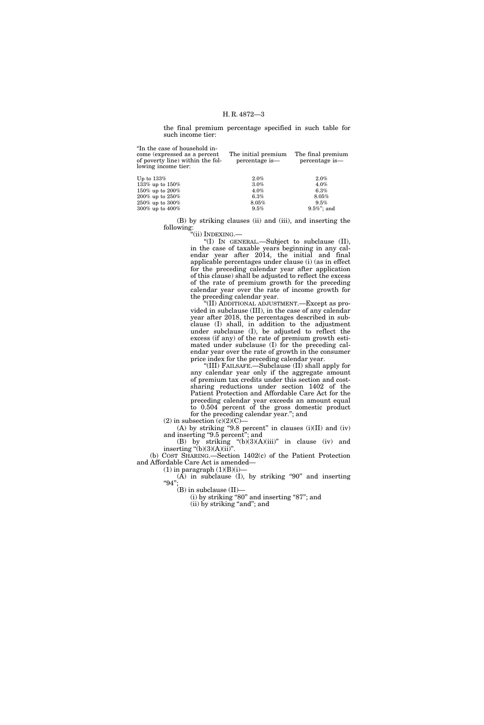the final premium percentage specified in such table for such income tier:

| "In the case of household in-<br>come (expressed as a percent<br>of poverty line) within the fol-<br>lowing income tier: | The initial premium<br>percentage is- | The final premium<br>percentage is- |
|--------------------------------------------------------------------------------------------------------------------------|---------------------------------------|-------------------------------------|
| Up to $133\%$                                                                                                            | 2.0%                                  | $2.0\%$                             |
| 133% up to $150%$                                                                                                        | $3.0\%$                               | $4.0\%$                             |
| 150% up to $200%$                                                                                                        | $4.0\%$                               | $6.3\%$                             |
| $200\%$ up to $250\%$                                                                                                    | $6.3\%$                               | 8.05%                               |
| $250\%$ up to $300\%$                                                                                                    | 8.05%                                 | 9.5%                                |

300% up to 400% 9.5% 9.5%''; and

(B) by striking clauses (ii) and (iii), and inserting the following:

''(ii) INDEXING.—

''(I) IN GENERAL.—Subject to subclause (II), in the case of taxable years beginning in any calendar year after 2014, the initial and final applicable percentages under clause (i) (as in effect for the preceding calendar year after application of this clause) shall be adjusted to reflect the excess of the rate of premium growth for the preceding calendar year over the rate of income growth for the preceding calendar year.

'(II) ADDITIONAL ADJUSTMENT.—Except as provided in subclause (III), in the case of any calendar year after 2018, the percentages described in subclause (I) shall, in addition to the adjustment under subclause (I), be adjusted to reflect the excess (if any) of the rate of premium growth estimated under subclause (I) for the preceding calendar year over the rate of growth in the consumer price index for the preceding calendar year.

''(III) FAILSAFE.—Subclause (II) shall apply for any calendar year only if the aggregate amount of premium tax credits under this section and costsharing reductions under section 1402 of the Patient Protection and Affordable Care Act for the preceding calendar year exceeds an amount equal to 0.504 percent of the gross domestic product for the preceding calendar year.''; and

(2) in subsection  $(c)(2)(C)$ 

(A) by striking "9.8 percent" in clauses  $(i)(II)$  and  $(iv)$ and inserting "9.5 percent"; and

(B) by striking  $\text{``(b)(3)(A)(iii)}\text{''}$  in clause (iv) and inserting  $\degree$ (b)(3)(A)(ii)".

(b) COST SHARING.—Section 1402(c) of the Patient Protection and Affordable Care Act is amended—

 $(1)$  in paragraph  $(1)(B)(i)$ —

 $(A)$  in subclause  $(I)$ , by striking "90" and inserting ''94'';

 $(B)$  in subclause  $(II)$ —

 $(i)$  by striking "80" and inserting "87"; and (ii) by striking "and"; and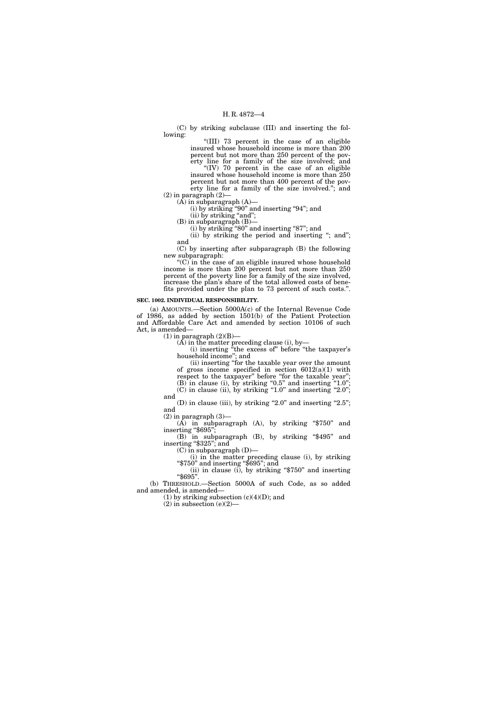(C) by striking subclause (III) and inserting the following:

''(III) 73 percent in the case of an eligible insured whose household income is more than 200 percent but not more than 250 percent of the poverty line for a family of the size involved; and "(IV) 70 percent in the case of an eligible

insured whose household income is more than 250 percent but not more than 400 percent of the poverty line for a family of the size involved.''; and

 $(2)$  in paragraph  $(2)$ –

 $(A)$  in subparagraph  $(A)$ —

(i) by striking ''90'' and inserting ''94''; and

 $(ii)$  by striking "and"; (B) in subparagraph (B)—

(i) by striking "80" and inserting "87"; and

(ii) by striking the period and inserting "; and"; and

(C) by inserting after subparagraph (B) the following new subparagraph:

" $(C)$  in the case of an eligible insured whose household income is more than 200 percent but not more than 250 percent of the poverty line for a family of the size involved, increase the plan's share of the total allowed costs of benefits provided under the plan to 73 percent of such costs.''.

# **SEC. 1002. INDIVIDUAL RESPONSIBILITY.**

(a) AMOUNTS.—Section 5000A(c) of the Internal Revenue Code of 1986, as added by section 1501(b) of the Patient Protection and Affordable Care Act and amended by section 10106 of such Act, is amended—

 $(1)$  in paragraph  $(2)(B)$ —

 $(A)$  in the matter preceding clause (i), by-

(i) inserting ''the excess of'' before ''the taxpayer's household income''; and

(ii) inserting ''for the taxable year over the amount of gross income specified in section 6012(a)(1) with respect to the taxpayer" before "for the taxable year";

 $(B)$  in clause (i), by striking "0.5" and inserting "1.0";  $(C)$  in clause (ii), by striking "1.0" and inserting "2.0";

and (D) in clause (iii), by striking "2.0" and inserting "2.5";

and<br>(2) in paragraph  $(3)$ —

(A) in subparagraph (A), by striking "\$750" and inserting "\$695"; (B) in subparagraph (B), by striking "\$495" and inserting "\$325"; and

 $(C)$  in subparagraph  $(D)$ —

(i) in the matter preceding clause (i), by striking "\$750" and inserting "\$695"; and (ii) in clause (i), by striking "\$750" and inserting "\$695".

(b) THRESHOLD.—Section 5000A of such Code, as so added

and amended, is amended— (1) by striking subsection  $(c)(4)(D)$ ; and

 $(2)$  in subsection  $(e)(2)$ —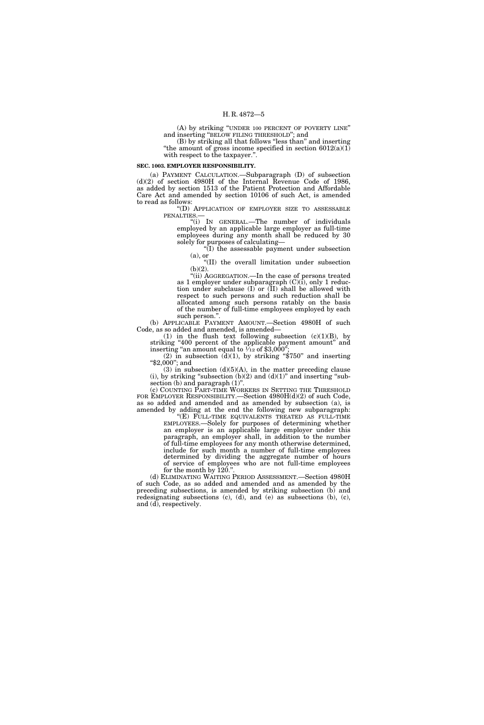(A) by striking ''UNDER 100 PERCENT OF POVERTY LINE'' and inserting ''BELOW FILING THRESHOLD''; and

(B) by striking all that follows ''less than'' and inserting "the amount of gross income specified in section  $6012(a)(1)$ with respect to the taxpayer.''.

#### **SEC. 1003. EMPLOYER RESPONSIBILITY.**

(a) PAYMENT CALCULATION.—Subparagraph (D) of subsection (d)(2) of section 4980H of the Internal Revenue Code of 1986, as added by section 1513 of the Patient Protection and Affordable Care Act and amended by section 10106 of such Act, is amended to read as follows:

''(D) APPLICATION OF EMPLOYER SIZE TO ASSESSABLE PENALTIES.—

''(i) IN GENERAL.—The number of individuals employed by an applicable large employer as full-time employees during any month shall be reduced by 30 solely for purposes of calculating—

''(I) the assessable payment under subsection (a), or

''(II) the overall limitation under subsection  $(b)(2)$ .

''(ii) AGGREGATION.—In the case of persons treated as 1 employer under subparagraph (C)(i), only 1 reduction under subclause (I) or (II) shall be allowed with respect to such persons and such reduction shall be allocated among such persons ratably on the basis of the number of full-time employees employed by each such person.''.

(b) APPLICABLE PAYMENT AMOUNT.—Section 4980H of such Code, as so added and amended, is amended—

(1) in the flush text following subsection  $(c)(1)(B)$ , by striking "400 percent of the applicable payment amount" and inserting "an amount equal to  $\frac{1}{12}$  of \$3,000";

(2) in subsection (d)(1), by striking "\$750" and inserting "\$2,000"; and

(3) in subsection  $(d)(5)(A)$ , in the matter preceding clause (i), by striking "subsection  $(b)(2)$  and  $(d)(1)$ " and inserting "subsection (b) and paragraph  $(1)$ ".

(c) COUNTING PART-TIME WORKERS IN SETTING THE THRESHOLD FOR EMPLOYER RESPONSIBILITY.—Section 4980H(d)(2) of such Code, as so added and amended and as amended by subsection (a), is amended by adding at the end the following new subparagraph:

''(E) FULL-TIME EQUIVALENTS TREATED AS FULL-TIME EMPLOYEES.—Solely for purposes of determining whether an employer is an applicable large employer under this paragraph, an employer shall, in addition to the number of full-time employees for any month otherwise determined, include for such month a number of full-time employees determined by dividing the aggregate number of hours of service of employees who are not full-time employees for the month by  $120$ ."

(d) ELIMINATING WAITING PERIOD ASSESSMENT.—Section 4980H of such Code, as so added and amended and as amended by the preceding subsections, is amended by striking subsection (b) and redesignating subsections (c), (d), and (e) as subsections (b), (c), and (d), respectively.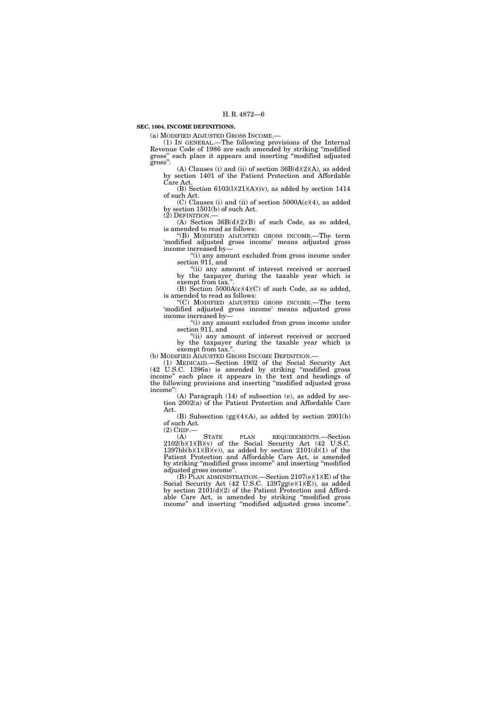# **SEC. 1004. INCOME DEFINITIONS.**

(a) MODIFIED ADJUSTED GROSS INCOME.— (1) IN GENERAL.—The following provisions of the Internal Revenue Code of 1986 are each amended by striking ''modified gross'' each place it appears and inserting ''modified adjusted gross'':

(A) Clauses (i) and (ii) of section  $36B(d)(2)(A)$ , as added by section 1401 of the Patient Protection and Affordable Care Act.

(B) Section  $6103(1)(21)(A)(iv)$ , as added by section 1414 of such Act.

(C) Clauses (i) and (ii) of section 5000A(c)(4), as added by section 1501(b) of such Act.<br>(2) DEFINITION.—

(A) Section  $36B(d)(2)(B)$  of such Code, as so added, is amended to read as follows:

''(B) MODIFIED ADJUSTED GROSS INCOME.—The term 'modified adjusted gross income' means adjusted gross income increased by—

''(i) any amount excluded from gross income under section 911, and

"(ii) any amount of interest received or accrued by the taxpayer during the taxable year which is exempt from tax."

(B) Section 5000A(c)(4)(C) of such Code, as so added, is amended to read as follows:

''(C) MODIFIED ADJUSTED GROSS INCOME.—The term 'modified adjusted gross income' means adjusted gross income increased by—

''(i) any amount excluded from gross income under section 911, and

"(ii) any amount of interest received or accrued by the taxpayer during the taxable year which is exempt from tax.''.

(b) MODIFIED ADJUSTED GROSS INCOME DEFINITION.— (1) MEDICAID.—Section 1902 of the Social Security Act (42 U.S.C. 1396a) is amended by striking ''modified gross income'' each place it appears in the text and headings of the following provisions and inserting ''modified adjusted gross income'':

(A) Paragraph (14) of subsection (e), as added by section 2002(a) of the Patient Protection and Affordable Care Act.

(B) Subsection  $(gg)(4)(A)$ , as added by section 2001(b) of such Act.

(2) CHIP.— (A) STATE PLAN REQUIREMENTS.—Section  $2102(b)(1)(B)(v)$  of the Social Security Act (42 U.S.C.  $1397bb(b)(1)(B)(v)$ , as added by section  $2101(d)(1)$  of the Patient Protection and Affordable Care Act, is amended by striking ''modified gross income'' and inserting ''modified adjusted gross income''.

(B) PLAN ADMINISTRATION.—Section 2107(e)(1)(E) of the Social Security Act  $(42 \text{ U.S.C. } 1397 \text{gg}(e)(1)(E))$ , as added by section 2101(d)(2) of the Patient Protection and Affordable Care Act, is amended by striking ''modified gross income'' and inserting ''modified adjusted gross income''.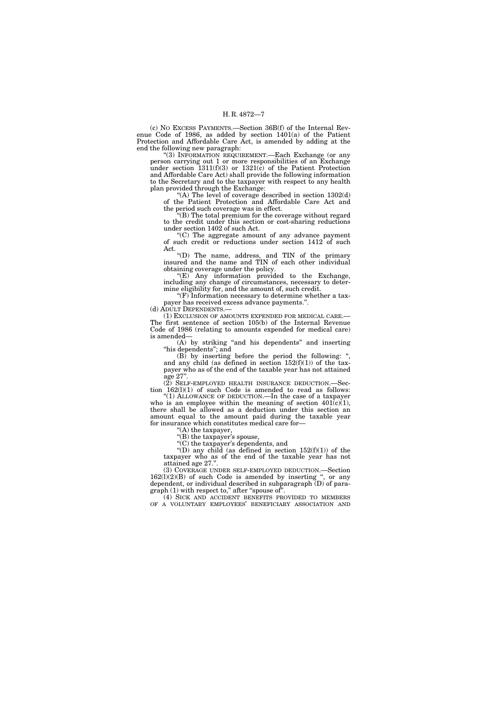(c) NO EXCESS PAYMENTS.—Section 36B(f) of the Internal Revenue Code of 1986, as added by section 1401(a) of the Patient Protection and Affordable Care Act, is amended by adding at the end the following new paragraph:

''(3) INFORMATION REQUIREMENT.—Each Exchange (or any person carrying out 1 or more responsibilities of an Exchange under section  $1311(f)(3)$  or  $1321(c)$  of the Patient Protection and Affordable Care Act) shall provide the following information to the Secretary and to the taxpayer with respect to any health plan provided through the Exchange:

"(A) The level of coverage described in section  $1302(d)$ of the Patient Protection and Affordable Care Act and the period such coverage was in effect.

''(B) The total premium for the coverage without regard to the credit under this section or cost-sharing reductions under section 1402 of such Act.

 $(C)$  The aggregate amount of any advance payment of such credit or reductions under section 1412 of such Act.

''(D) The name, address, and TIN of the primary insured and the name and TIN of each other individual obtaining coverage under the policy.

 $E(E)$  Any information provided to the Exchange, including any change of circumstances, necessary to determine eligibility for, and the amount of, such credit.

''(F) Information necessary to determine whether a taxpayer has received excess advance payments.". (d) ADULT DEPENDENTS.—

(1) EXCLUSION OF AMOUNTS EXPENDED FOR MEDICAL CARE.— The first sentence of section 105(b) of the Internal Revenue Code of 1986 (relating to amounts expended for medical care) is amended—

(A) by striking ''and his dependents'' and inserting "his dependents"; and

 $(B)$  by inserting before the period the following: ", and any child (as defined in section  $152(f)(1)$ ) of the taxpayer who as of the end of the taxable year has not attained age 27''.

 $(2)$  SELF-EMPLOYED HEALTH INSURANCE DEDUCTION. Section 162(l)(1) of such Code is amended to read as follows:

"(1) ALLOWANCE OF DEDUCTION.—In the case of a taxpayer who is an employee within the meaning of section  $401(c)(1)$ , there shall be allowed as a deduction under this section an amount equal to the amount paid during the taxable year for insurance which constitutes medical care for—

''(A) the taxpayer,

"(B) the taxpayer's spouse, "(C) the taxpayer's dependents, and

"(D) any child (as defined in section  $152(f)(1)$ ) of the taxpayer who as of the end of the taxable year has not attained age 27.''.

(3) COVERAGE UNDER SELF-EMPLOYED DEDUCTION.—Section  $162(1)(2)(B)$  of such Code is amended by inserting ", or any dependent, or individual described in subparagraph  $(D)$  of paragraph (1) with respect to," after "spouse of".

(4) SICK AND ACCIDENT BENEFITS PROVIDED TO MEMBERS OF A VOLUNTARY EMPLOYEES' BENEFICIARY ASSOCIATION AND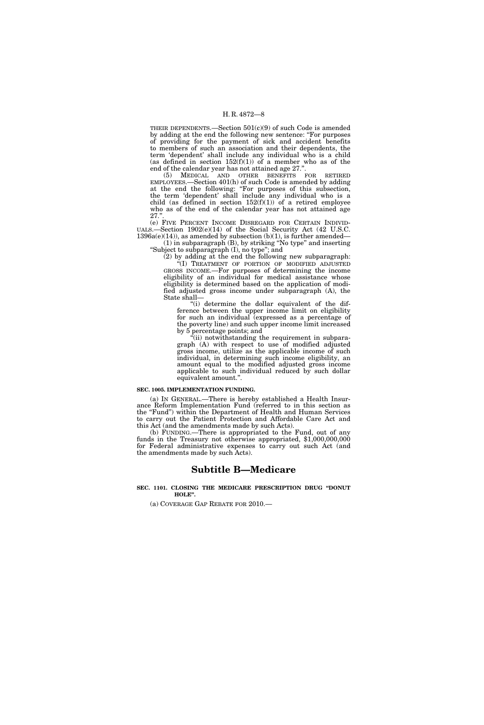THEIR DEPENDENTS.—Section 501(c)(9) of such Code is amended by adding at the end the following new sentence: ''For purposes of providing for the payment of sick and accident benefits to members of such an association and their dependents, the term 'dependent' shall include any individual who is a child (as defined in section  $152(f)(1)$ ) of a member who as of the end of the calendar year has not attained age 27.''.

(5) MEDICAL AND OTHER BENEFITS FOR RETIRED EMPLOYEES.—Section 401(h) of such Code is amended by adding at the end the following: ''For purposes of this subsection, the term 'dependent' shall include any individual who is a child (as defined in section  $152(f)(1)$ ) of a retired employee who as of the end of the calendar year has not attained age  $27.$ "

(e) FIVE PERCENT INCOME DISREGARD FOR CERTAIN INDIVID-UALS.—Section 1902(e)(14) of the Social Security Act (42 U.S.C.  $1396a(e)(14)$ , as amended by subsection (b)(1), is further amended—

(1) in subparagraph (B), by striking ''No type'' and inserting ''Subject to subparagraph (I), no type''; and

(2) by adding at the end the following new subparagraph: ''(I) TREATMENT OF PORTION OF MODIFIED ADJUSTED GROSS INCOME.—For purposes of determining the income eligibility of an individual for medical assistance whose eligibility is determined based on the application of modified adjusted gross income under subparagraph (A), the State shall—

''(i) determine the dollar equivalent of the difference between the upper income limit on eligibility for such an individual (expressed as a percentage of the poverty line) and such upper income limit increased by 5 percentage points; and

''(ii) notwithstanding the requirement in subpara $graph$  (A) with respect to use of modified adjusted gross income, utilize as the applicable income of such individual, in determining such income eligibility, an amount equal to the modified adjusted gross income applicable to such individual reduced by such dollar equivalent amount.''.

#### **SEC. 1005. IMPLEMENTATION FUNDING.**

(a) IN GENERAL.—There is hereby established a Health Insurance Reform Implementation Fund (referred to in this section as the ''Fund'') within the Department of Health and Human Services to carry out the Patient Protection and Affordable Care Act and this Act (and the amendments made by such Acts).

(b) FUNDING.—There is appropriated to the Fund, out of any funds in the Treasury not otherwise appropriated, \$1,000,000,000 for Federal administrative expenses to carry out such Act (and the amendments made by such Acts).

# **Subtitle B—Medicare**

# **SEC. 1101. CLOSING THE MEDICARE PRESCRIPTION DRUG ''DONUT HOLE''.**

(a) COVERAGE GAP REBATE FOR 2010.—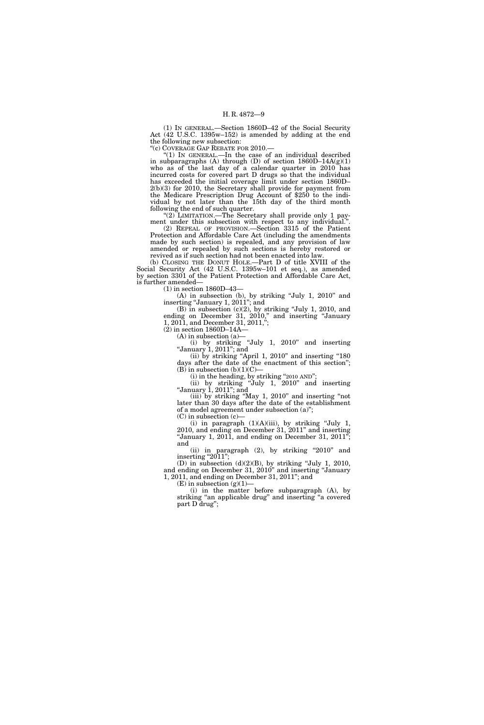(1) IN GENERAL.—Section 1860D–42 of the Social Security Act (42 U.S.C. 1395w–152) is amended by adding at the end the following new subsection:

''(c) COVERAGE GAP REBATE FOR 2010.—

''(1) IN GENERAL.—In the case of an individual described in subparagraphs (A) through (D) of section  $1860D-14A(g)(1)$ who as of the last day of a calendar quarter in 2010 has incurred costs for covered part D drugs so that the individual has exceeded the initial coverage limit under section 1860D– 2(b)(3) for 2010, the Secretary shall provide for payment from the Medicare Prescription Drug Account of \$250 to the individual by not later than the 15th day of the third month following the end of such quarter.

"(2) LIMITATION.—The Secretary shall provide only 1 payment under this subsection with respect to any individual.''.

(2) REPEAL OF PROVISION.—Section 3315 of the Patient Protection and Affordable Care Act (including the amendments made by such section) is repealed, and any provision of law amended or repealed by such sections is hereby restored or revived as if such section had not been enacted into law.

(b) CLOSING THE DONUT HOLE.—Part D of title XVIII of the Social Security Act (42 U.S.C. 1395w–101 et seq.), as amended by section 3301 of the Patient Protection and Affordable Care Act, is further amended—

(1) in section 1860D–43—

(A) in subsection (b), by striking ''July 1, 2010'' and inserting "January 1, 2011"; and

(B) in subsection (c)(2), by striking ''July 1, 2010, and ending on December 31, 2010," and inserting "January 1, 2011, and December 31, 2011,'';

(2) in section 1860D–14A—

(A) in subsection (a)—

(i) by striking ''July 1, 2010'' and inserting ''January 1, 2011''; and (ii) by striking "April 1,  $2010$ " and inserting "180

days after the date of the enactment of this section''; (B) in subsection  $(b)(1)(C)$ —

 $(i)$  in the heading, by striking "2010 AND";

(ii) by striking ''July 1, 2010'' and inserting ''January 1, 2011''; and

(iii) by striking ''May 1, 2010'' and inserting ''not later than 30 days after the date of the establishment of a model agreement under subsection (a)'';

(C) in subsection (c)—

(i) in paragraph  $(1)(A)(iii)$ , by striking "July 1, 2010, and ending on December 31, 2011'' and inserting "January 1, 2011, and ending on December 31,  $2011$ "; and

(ii) in paragraph (2), by striking "2010" and inserting " $2011$ ";

(D) in subsection  $(d)(2)(B)$ , by striking "July 1, 2010, and ending on December 31, 2010'' and inserting ''January 1, 2011, and ending on December 31, 2011''; and

 $(E)$  in subsection  $(g)(1)$ -

(i) in the matter before subparagraph (A), by striking "an applicable drug" and inserting "a covered part D drug'';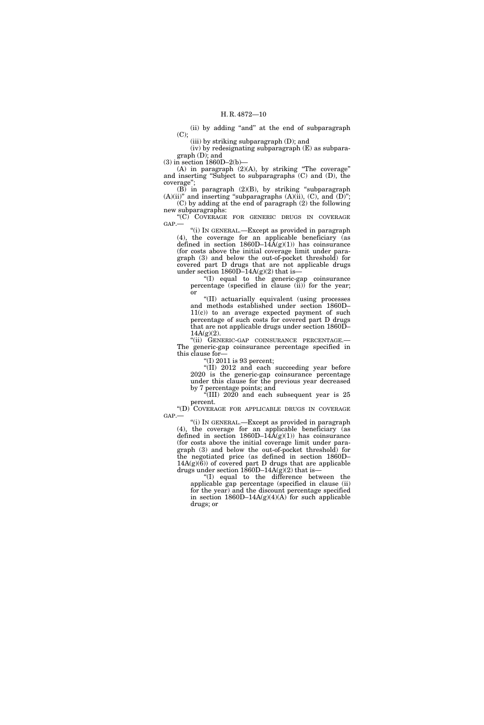(ii) by adding ''and'' at the end of subparagraph  $(C)$ ;

(iii) by striking subparagraph (D); and

(iv) by redesignating subparagraph (E) as subparagraph (D); and

(3) in section 1860D–2(b)—

(A) in paragraph  $(2)(A)$ , by striking "The coverage" and inserting ''Subject to subparagraphs (C) and (D), the coverage'';

(B) in paragraph (2)(B), by striking ''subparagraph  $(A)(ii)$ " and inserting "subparagraphs  $(A)(ii)$ ,  $(C)$ , and  $(D)$ "; (C) by adding at the end of paragraph (2) the following

new subparagraphs: "(C) COVERAGE FOR GENERIC DRUGS IN COVERAGE GAP.—

''(i) IN GENERAL.—Except as provided in paragraph (4), the coverage for an applicable beneficiary (as defined in section  $1860D-14A(g)(1)$  has coinsurance (for costs above the initial coverage limit under paragraph (3) and below the out-of-pocket threshold) for covered part D drugs that are not applicable drugs under section  $1860D-14A(g)(2)$  that is-

''(I) equal to the generic-gap coinsurance percentage (specified in clause (ii)) for the year; or

''(II) actuarially equivalent (using processes and methods established under section 1860D– 11(c)) to an average expected payment of such percentage of such costs for covered part D drugs that are not applicable drugs under section 1860D–  $14A(g)(2)$ .

''(ii) GENERIC-GAP COINSURANCE PERCENTAGE.— The generic-gap coinsurance percentage specified in this clause for—

''(I) 2011 is 93 percent;

''(II) 2012 and each succeeding year before 2020 is the generic-gap coinsurance percentage under this clause for the previous year decreased by 7 percentage points; and

 $\cdot$ <sup>\*</sup>(III) 2020 and each subsequent year is 25 percent.

''(D) COVERAGE FOR APPLICABLE DRUGS IN COVERAGE GAP.—

''(i) IN GENERAL.—Except as provided in paragraph (4), the coverage for an applicable beneficiary (as defined in section  $1860D-14\text{\AA(g)}(1)$  has coinsurance (for costs above the initial coverage limit under paragraph (3) and below the out-of-pocket threshold) for the negotiated price (as defined in section 1860D–  $14A(g)(6)$  of covered part D drugs that are applicable drugs under section 1860D–14A(g)(2) that is—

''(I) equal to the difference between the applicable gap percentage (specified in clause (ii) for the year) and the discount percentage specified in section  $1860D-14A(g)(4)(A)$  for such applicable drugs; or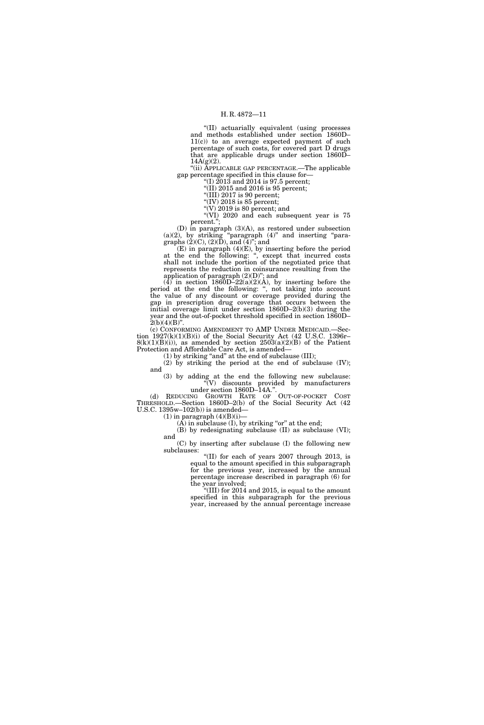''(II) actuarially equivalent (using processes and methods established under section 1860D– 11(c)) to an average expected payment of such percentage of such costs, for covered part D drugs that are applicable drugs under section 1860D–  $14A(g)(2)$ .

''(ii) APPLICABLE GAP PERCENTAGE.—The applicable gap percentage specified in this clause for—

"(I)  $2013$  and 2014 is 97.5 percent; "(II) 2015 and 2016 is 95 percent;

 $\sqrt{\text{III}}$ ) 2017 is 90 percent;

"(IV) 2018 is 85 percent;

"(V)  $2019$  is 80 percent; and

''(VI) 2020 and each subsequent year is 75 percent.'';

(D) in paragraph (3)(A), as restored under subsection  $(a)(2)$ , by striking "paragraph  $(4)$ " and inserting "paragraphs  $(2)(C)$ ,  $(2)(D)$ , and  $(4)$ <sup>"</sup>; and

(E) in paragraph (4)(E), by inserting before the period at the end the following: ", except that incurred costs shall not include the portion of the negotiated price that represents the reduction in coinsurance resulting from the application of paragraph (2)(D)''; and

 $(4)$  in section 1860D–22(a)(2)(A), by inserting before the period at the end the following: '', not taking into account the value of any discount or coverage provided during the gap in prescription drug coverage that occurs between the initial coverage limit under section 1860D–2(b)(3) during the year and the out-of-pocket threshold specified in section 1860D–  $2(b)(4)(B)$ ".

(c) CONFORMING AMENDMENT TO AMP UNDER MEDICAID.—Section  $1927(k)(1)(B)(i)$  of the Social Security Act (42 U.S.C. 1396r–  $8(k)(1)(B)(i)$ , as amended by section  $2503(a)(2)(B)$  of the Patient Protection and Affordable Care Act, is amended—

 $(1)$  by striking "and" at the end of subclause (III);

 $(2)$  by striking the period at the end of subclause  $(IV)$ ; and

(3) by adding at the end the following new subclause: ''(V) discounts provided by manufacturers under section 1860D–14A.''.

(d) REDUCING GROWTH RATE OF OUT-OF-POCKET COST THRESHOLD.—Section 1860D–2(b) of the Social Security Act (42 U.S.C. 1395w–102(b)) is amended—

 $(1)$  in paragraph  $(4)(B)(i)$ —

 $(\overrightarrow{A})$  in subclause  $(I)$ , by striking "or" at the end;

(B) by redesignating subclause (II) as subclause (VI);

and (C) by inserting after subclause (I) the following new subclauses:

''(II) for each of years 2007 through 2013, is equal to the amount specified in this subparagraph for the previous year, increased by the annual percentage increase described in paragraph (6) for the year involved;

''(III) for 2014 and 2015, is equal to the amount specified in this subparagraph for the previous year, increased by the annual percentage increase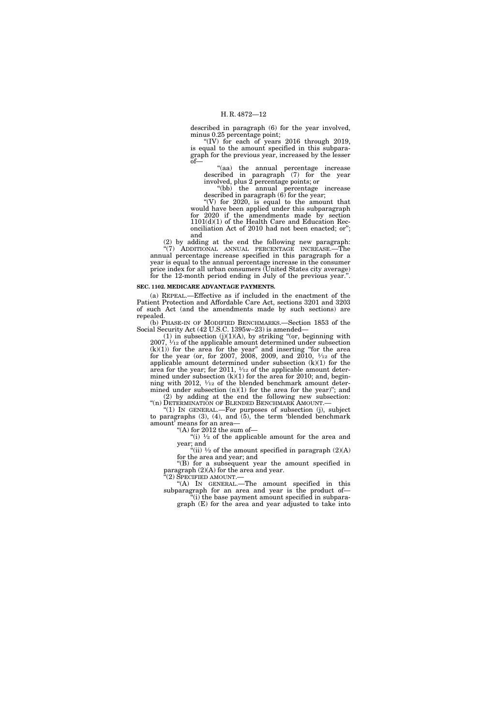described in paragraph (6) for the year involved, minus 0.25 percentage point;

''(IV) for each of years 2016 through 2019, is equal to the amount specified in this subparagraph for the previous year, increased by the lesser  $of$ — $n$ 

''(aa) the annual percentage increase described in paragraph (7) for the year involved, plus 2 percentage points; or

''(bb) the annual percentage increase described in paragraph (6) for the year;

"(V) for  $2020$ , is equal to the amount that would have been applied under this subparagraph for 2020 if the amendments made by section 1101(d)(1) of the Health Care and Education Reconciliation Act of 2010 had not been enacted; or''; and

(2) by adding at the end the following new paragraph: ''(7) ADDITIONAL ANNUAL PERCENTAGE INCREASE.—The annual percentage increase specified in this paragraph for a year is equal to the annual percentage increase in the consumer price index for all urban consumers (United States city average) for the 12-month period ending in July of the previous year.''.

# **SEC. 1102. MEDICARE ADVANTAGE PAYMENTS.**

(a) REPEAL.—Effective as if included in the enactment of the Patient Protection and Affordable Care Act, sections 3201 and 3203 of such Act (and the amendments made by such sections) are repealed.

(b) PHASE-IN OF MODIFIED BENCHMARKS.—Section 1853 of the Social Security Act (42 U.S.C. 1395w–23) is amended—

(1) in subsection  $(j)(1)(A)$ , by striking "(or, beginning with  $2007$ ,  $\frac{1}{12}$  of the applicable amount determined under subsection  $(k)(1)$ ) for the area for the year" and inserting "for the area for the year (or, for 2007, 2008, 2009, and 2010,  $\frac{1}{12}$  of the applicable amount determined under subsection  $(k)(1)$  for the area for the year; for 2011,  $\frac{1}{12}$  of the applicable amount determined under subsection  $(k)(1)$  for the area for 2010; and, beginning with 2012,  $\frac{1}{12}$  of the blended benchmark amount determined under subsection  $(n)(1)$  for the area for the year)"; and (2) by adding at the end the following new subsection: "(n) DETERMINATION OF BLENDED BENCHMARK AMOUNT.-

''(1) IN GENERAL.—For purposes of subsection (j), subject to paragraphs  $(3)$ ,  $(4)$ , and  $(5)$ , the term 'blended benchmark amount' means for an area—

''(A) for 2012 the sum of—

"(i)  $\frac{1}{2}$  of the applicable amount for the area and year; and

"(ii)  $\frac{1}{2}$  of the amount specified in paragraph (2)(A) for the area and year; and

''(B) for a subsequent year the amount specified in paragraph (2)(A) for the area and year.

''(2) SPECIFIED AMOUNT.—

''(A) IN GENERAL.—The amount specified in this subparagraph for an area and year is the product of— ''(i) the base payment amount specified in subpara-

graph (E) for the area and year adjusted to take into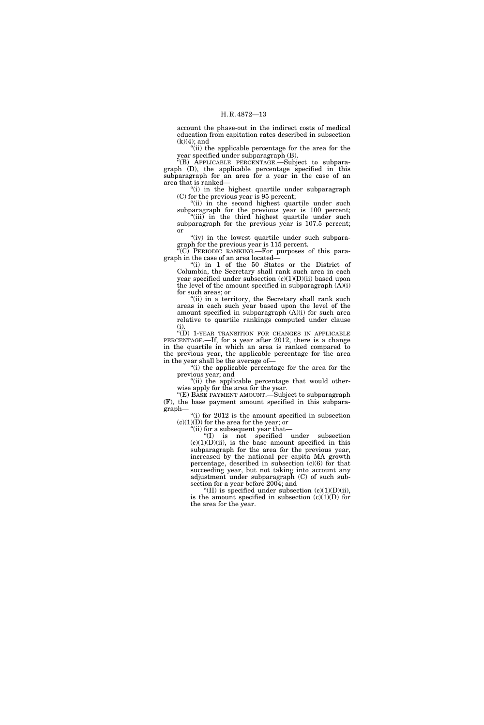account the phase-out in the indirect costs of medical education from capitation rates described in subsection  $(k)(4)$ ; and

''(ii) the applicable percentage for the area for the year specified under subparagraph (B).

''(B) APPLICABLE PERCENTAGE.—Subject to subparagraph (D), the applicable percentage specified in this subparagraph for an area for a year in the case of an area that is ranked—

''(i) in the highest quartile under subparagraph (C) for the previous year is 95 percent;

"(ii) in the second highest quartile under such subparagraph for the previous year is 100 percent; "(iii) in the third highest quartile under such subparagraph for the previous year is 107.5 percent; or

" $(iv)$  in the lowest quartile under such subparagraph for the previous year is 115 percent.

''(C) PERIODIC RANKING.—For purposes of this paragraph in the case of an area located—

''(i) in 1 of the 50 States or the District of Columbia, the Secretary shall rank such area in each year specified under subsection  $(c)(1)(D)(ii)$  based upon the level of the amount specified in subparagraph  $(A)(i)$ for such areas; or

"(ii) in a territory, the Secretary shall rank such areas in each such year based upon the level of the amount specified in subparagraph  $(A)(i)$  for such area relative to quartile rankings computed under clause (i).

''(D) 1-YEAR TRANSITION FOR CHANGES IN APPLICABLE PERCENTAGE.—If, for a year after 2012, there is a change in the quartile in which an area is ranked compared to the previous year, the applicable percentage for the area in the year shall be the average of—

"(i) the applicable percentage for the area for the previous year; and

"(ii) the applicable percentage that would otherwise apply for the area for the year.

''(E) BASE PAYMENT AMOUNT.—Subject to subparagraph (F), the base payment amount specified in this subparagraph—

"(i) for 2012 is the amount specified in subsection  $(c)(1)(D)$  for the area for the year; or

"(ii) for a subsequent year that-

''(I) is not specified under subsection  $(c)(1)(D)(ii)$ , is the base amount specified in this subparagraph for the area for the previous year, increased by the national per capita MA growth percentage, described in subsection (c)(6) for that succeeding year, but not taking into account any adjustment under subparagraph (C) of such subsection for a year before 2004; and

"(II) is specified under subsection  $(c)(1)(D)(ii)$ , is the amount specified in subsection  $(c)(1)(D)$  for the area for the year.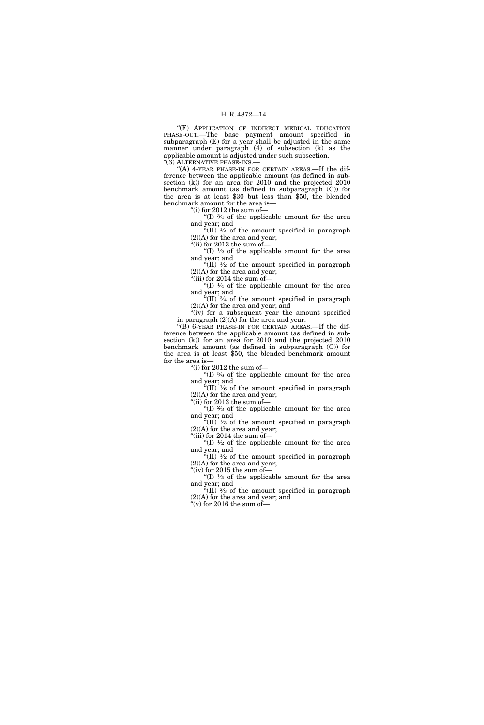''(F) APPLICATION OF INDIRECT MEDICAL EDUCATION PHASE-OUT.—The base payment amount specified in subparagraph (E) for a year shall be adjusted in the same manner under paragraph (4) of subsection (k) as the applicable amount is adjusted under such subsection. ''(3) ALTERNATIVE PHASE-INS.—

"(A) 4-YEAR PHASE-IN FOR CERTAIN AREAS.—If the difference between the applicable amount (as defined in subsection (k)) for an area for 2010 and the projected 2010 benchmark amount (as defined in subparagraph (C)) for the area is at least \$30 but less than \$50, the blended benchmark amount for the area is—

''(i) for 2012 the sum of—

"(I)  $\frac{3}{4}$  of the applicable amount for the area and year; and

"(II)  $\frac{1}{4}$  of the amount specified in paragraph (2)(A) for the area and year;

"(ii) for 2013 the sum of-

"(I)  $\frac{1}{2}$  of the applicable amount for the area and year; and

"(II)  $\frac{1}{2}$  of the amount specified in paragraph (2)(A) for the area and year;

"(iii) for 2014 the sum of-

"(I)  $\frac{1}{4}$  of the applicable amount for the area and year; and

 $\sqrt[3]{(II)}$   $\frac{3}{4}$  of the amount specified in paragraph (2)(A) for the area and year; and "(iv) for a subsequent year the amount specified

in paragraph (2)(A) for the area and year.

" $(B)$  6-YEAR PHASE-IN FOR CERTAIN AREAS.—If the difference between the applicable amount (as defined in subsection (k)) for an area for 2010 and the projected 2010 benchmark amount (as defined in subparagraph (C)) for the area is at least \$50, the blended benchmark amount for the area is—

''(i) for 2012 the sum of—

"(I)  $\frac{5}{6}$  of the applicable amount for the area and year; and "(II)  $\frac{1}{6}$  of the amount specified in paragraph

(2)(A) for the area and year; ''(ii) for 2013 the sum of—

"(I)  $\frac{2}{3}$  of the applicable amount for the area and year; and

"(II)  $\frac{1}{3}$  of the amount specified in paragraph (2)(A) for the area and year; "(iii) for 2014 the sum of-

"(I)  $\frac{1}{2}$  of the applicable amount for the area and year; and

"(II)  $\frac{1}{2}$  of the amount specified in paragraph (2)(A) for the area and year; "(iv) for 2015 the sum of-

"(I)  $\frac{1}{3}$  of the applicable amount for the area and year; and

"(II)  $\frac{2}{3}$  of the amount specified in paragraph (2)(A) for the area and year; and

 $\mathrm{``(v)}$  for 2016 the sum of—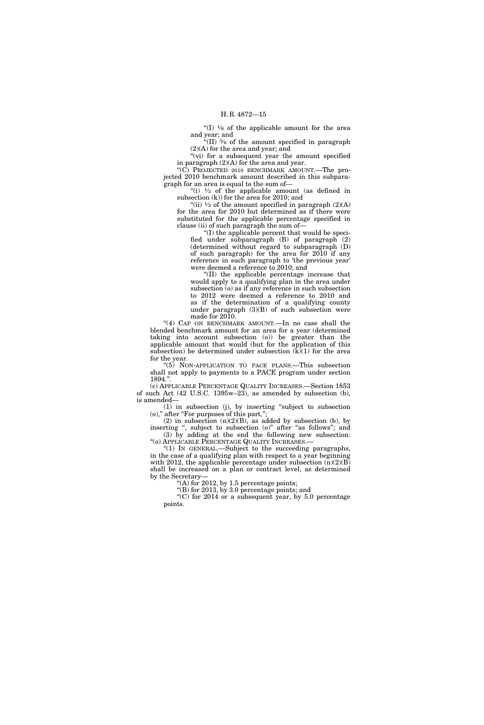"(I)  $\frac{1}{6}$  of the applicable amount for the area and year; and

"(II)  $\frac{5}{6}$  of the amount specified in paragraph  $(2)(A)$  for the area and year; and

"(vi) for a subsequent year the amount specified in paragraph (2)(A) for the area and year.

''(C) PROJECTED 2010 BENCHMARK AMOUNT.—The projected 2010 benchmark amount described in this subparagraph for an area is equal to the sum of—

"(i)  $\frac{1}{2}$  of the applicable amount (as defined in subsection (k)) for the area for 2010; and

"(ii)  $\frac{1}{2}$  of the amount specified in paragraph (2)(A) for the area for 2010 but determined as if there were substituted for the applicable percentage specified in clause (ii) of such paragraph the sum of—

''(I) the applicable percent that would be specified under subparagraph (B) of paragraph (2) (determined without regard to subparagraph (D) of such paragraph) for the area for 2010 if any reference in such paragraph to 'the previous year' were deemed a reference to 2010; and

''(II) the applicable percentage increase that would apply to a qualifying plan in the area under subsection (o) as if any reference in such subsection to 2012 were deemed a reference to 2010 and as if the determination of a qualifying county under paragraph  $(3)(B)$  of such subsection were made for 2010.

"(4) CAP ON BENCHMARK AMOUNT. - In no case shall the blended benchmark amount for an area for a year (determined taking into account subsection (o)) be greater than the applicable amount that would (but for the application of this subsection) be determined under subsection  $(k)(1)$  for the area for the year.

''(5) NON-APPLICATION TO PACE PLANS.—This subsection shall not apply to payments to a PACE program under section 1894.''.

(c) APPLICABLE PERCENTAGE QUALITY INCREASES.—Section 1853 of such Act (42 U.S.C. 1395w–23), as amended by subsection (b), is amended—

(1) in subsection (j), by inserting ''subject to subsection (o),'' after ''For purposes of this part,'';

(2) in subsection  $(n)(2)(B)$ , as added by subsection (b), by inserting ", subject to subsection (o)" after "as follows"; and (3) by adding at the end the following new subsection: ''(o) APPLICABLE PERCENTAGE QUALITY INCREASES.—

''(1) IN GENERAL.—Subject to the succeeding paragraphs, in the case of a qualifying plan with respect to a year beginning with 2012, the applicable percentage under subsection (n)(2)(B) shall be increased on a plan or contract level, as determined by the Secretary—

"(A) for 2012, by 1.5 percentage points;

''(B) for 2013, by 3.0 percentage points; and

"(C) for 2014 or a subsequent year, by  $5.0$  percentage points.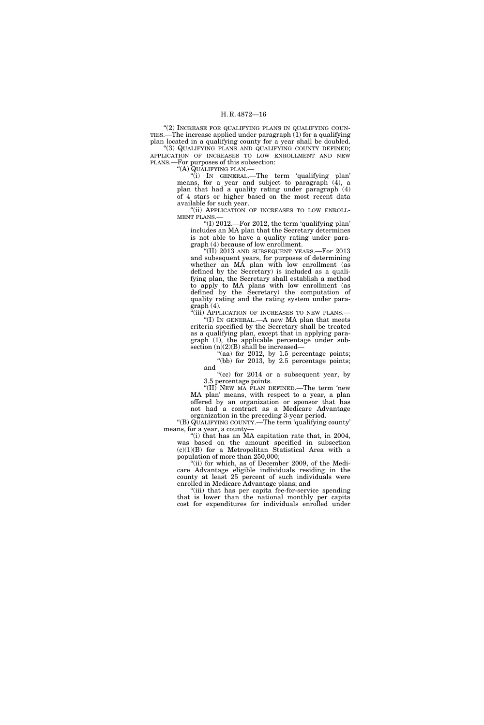''(2) INCREASE FOR QUALIFYING PLANS IN QUALIFYING COUN-TIES.—The increase applied under paragraph  $(1)$  for a qualifying plan located in a qualifying county for a year shall be doubled. (3) QUALIFYING PLANS AND QUALIFYING COUNTY DEFINED; APPLICATION OF INCREASES TO LOW ENROLLMENT AND NEW PLANS.—For purposes of this subsection:

''(A) QUALIFYING PLAN.—

''(i) IN GENERAL.—The term 'qualifying plan' means, for a year and subject to paragraph (4), a plan that had a quality rating under paragraph (4) of 4 stars or higher based on the most recent data available for such year.

"(ii) APPLICATION OF INCREASES TO LOW ENROLL-MENT PLANS.

''(I) 2012.—For 2012, the term 'qualifying plan' includes an MA plan that the Secretary determines is not able to have a quality rating under paragraph (4) because of low enrollment.

"(II) 2013 AND SUBSEQUENT YEARS.—For  $2013$ and subsequent years, for purposes of determining whether an MA plan with low enrollment (as defined by the Secretary) is included as a qualifying plan, the Secretary shall establish a method to apply to MA plans with low enrollment (as defined by the Secretary) the computation of quality rating and the rating system under paragraph (4).

"(iii) APPLICATION OF INCREASES TO NEW PLANS.— ''(I) IN GENERAL.—A new MA plan that meets criteria specified by the Secretary shall be treated as a qualifying plan, except that in applying paragraph (1), the applicable percentage under subsection  $(n)(2)(B)$  shall be increased—

 $($ aa) for 2012, by 1.5 percentage points; "(bb) for 2013, by 2.5 percentage points; and

"(cc) for  $2014$  or a subsequent year, by 3.5 percentage points.

''(II) NEW MA PLAN DEFINED.—The term 'new MA plan' means, with respect to a year, a plan offered by an organization or sponsor that has not had a contract as a Medicare Advantage

organization in the preceding 3-year period. ''(B) QUALIFYING COUNTY.—The term 'qualifying county' means, for a year, a county—

''(i) that has an MA capitation rate that, in 2004, was based on the amount specified in subsection (c)(1)(B) for a Metropolitan Statistical Area with a population of more than 250,000;

"(ii) for which, as of December 2009, of the Medicare Advantage eligible individuals residing in the county at least 25 percent of such individuals were enrolled in Medicare Advantage plans; and

"(iii) that has per capita fee-for-service spending that is lower than the national monthly per capita cost for expenditures for individuals enrolled under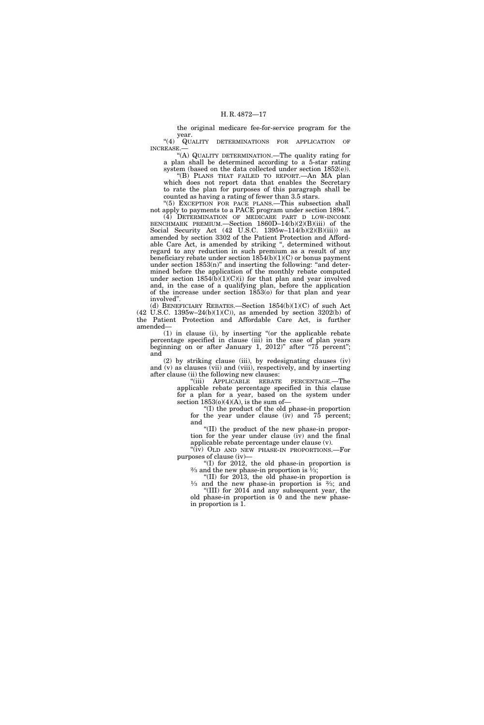the original medicare fee-for-service program for the year.

"(4) QUALITY DETERMINATIONS FOR APPLICATION OF INCREASE.

''(A) QUALITY DETERMINATION.—The quality rating for a plan shall be determined according to a 5-star rating system (based on the data collected under section 1852(e)).

''(B) PLANS THAT FAILED TO REPORT.—An MA plan which does not report data that enables the Secretary to rate the plan for purposes of this paragraph shall be counted as having a rating of fewer than 3.5 stars.

"(5) EXCEPTION FOR PACE PLANS.—This subsection shall not apply to payments to a PACE program under section 1894.''.

(4) DETERMINATION OF MEDICARE PART D LOW-INCOME BENCHMARK PREMIUM.—Section 1860D–14(b)(2)(B)(iii) of the Social Security Act (42 U.S.C. 1395w–114(b)(2)(B)(iii)) as amended by section 3302 of the Patient Protection and Affordable Care Act, is amended by striking ", determined without regard to any reduction in such premium as a result of any beneficiary rebate under section 1854(b)(1)(C) or bonus payment under section  $1853(n)$ " and inserting the following: "and determined before the application of the monthly rebate computed under section  $1854(b)(1)(C)(i)$  for that plan and year involved and, in the case of a qualifying plan, before the application of the increase under section  $1853(0)$  for that plan and year involved''.

(d) BENEFICIARY REBATES.—Section 1854(b)(1)(C) of such Act (42 U.S.C. 1395w–24(b)(1)(C)), as amended by section 3202(b) of the Patient Protection and Affordable Care Act, is further amended—

(1) in clause (i), by inserting ''(or the applicable rebate percentage specified in clause (iii) in the case of plan years beginning on or after January 1, 2012)" after "75 percent"; and

(2) by striking clause (iii), by redesignating clauses (iv) and (v) as clauses (vii) and (viii), respectively, and by inserting after clause (ii) the following new clauses:

''(iii) APPLICABLE REBATE PERCENTAGE.—The applicable rebate percentage specified in this clause for a plan for a year, based on the system under section  $1853(o)(4)(A)$ , is the sum of-

''(I) the product of the old phase-in proportion for the year under clause  $(iv)$  and  $75$  percent; and

''(II) the product of the new phase-in proportion for the year under clause (iv) and the final applicable rebate percentage under clause (v).

"(iv) OLD AND NEW PHASE-IN PROPORTIONS.—For purposes of clause (iv)—

"(I) for 2012, the old phase-in proportion is  $\frac{2}{3}$  and the new phase-in proportion is "(II) for 2013, the old phase-in proportion is

"(II) for 2013, the old phase-in proportion is  $\frac{1}{3}$  and the new phase-in proportion is  $\frac{2}{3}$ ; and

''(III) for 2014 and any subsequent year, the old phase-in proportion is 0 and the new phasein proportion is 1.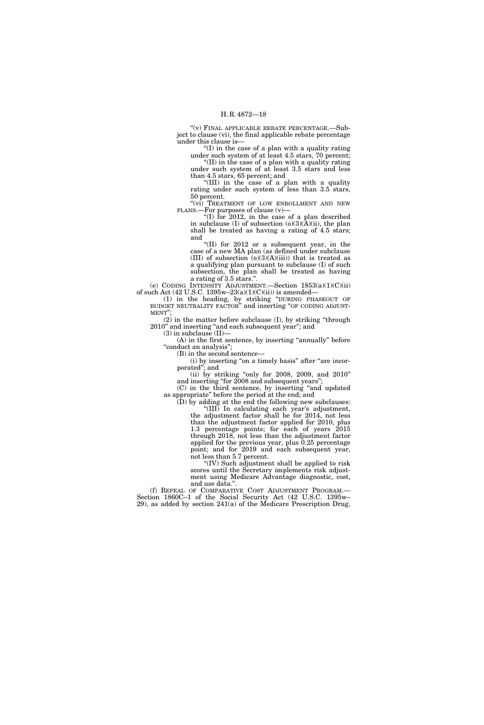''(v) FINAL APPLICABLE REBATE PERCENTAGE.—Subject to clause (vi), the final applicable rebate percentage under this clause is—

 $(1)$  in the case of a plan with a quality rating under such system of at least  $4.5$  stars,  $70$  percent. ''(II) in the case of a plan with a quality rating under such system of at least 3.5 stars and less

than 4.5 stars, 65 percent; and ''(III) in the case of a plan with a quality

rating under such system of less than 3.5 stars, 50 percent.

"(vi) TREATMENT OF LOW ENROLLMENT AND NEW PLANS.—For purposes of clause (v)—

"(I) for  $2012$ , in the case of a plan described in subclause (I) of subsection  $(0)(3)(A)(ii)$ , the plan shall be treated as having a rating of 4.5 stars; and

''(II) for 2012 or a subsequent year, in the case of a new MA plan (as defined under subclause (III) of subsection  $(o)(3)(A)(iii)$  that is treated as a qualifying plan pursuant to subclause (I) of such subsection, the plan shall be treated as having a rating of 3.5 stars.''.

(e) CODING INTENSITY ADJUSTMENT.—Section 1853(a)(1)(C)(ii) of such Act (42 U.S.C. 1395w-23(a)(1)(C)(ii)) is amended-

(1) in the heading, by striking ''DURING PHASEOUT OF BUDGET NEUTRALITY FACTOR'' and inserting ''OF CODING ADJUST-MENT'';

(2) in the matter before subclause (I), by striking ''through 2010" and inserting "and each subsequent year"; and

 $(3)$  in subclause  $(II)$ —

(A) in the first sentence, by inserting "annually" before "conduct an analysis";

(B) in the second sentence—

(i) by inserting "on a timely basis" after "are incorporated''; and

(ii) by striking "only for 2008, 2009, and 2010" and inserting "for 2008 and subsequent years";

(C) in the third sentence, by inserting ''and updated as appropriate'' before the period at the end; and

(D) by adding at the end the following new subclauses: ''(III) In calculating each year's adjustment, the adjustment factor shall be for 2014, not less than the adjustment factor applied for 2010, plus 1.3 percentage points; for each of years  $2015$ through 2018, not less than the adjustment factor applied for the previous year, plus 0.25 percentage point; and for 2019 and each subsequent year, not less than 5.7 percent.

''(IV) Such adjustment shall be applied to risk scores until the Secretary implements risk adjustment using Medicare Advantage diagnostic, cost, and use data.''.

(f) REPEAL OF COMPARATIVE COST ADJUSTMENT PROGRAM.— Section 1860C–1 of the Social Security Act (42 U.S.C. 1395w– 29), as added by section 241(a) of the Medicare Prescription Drug,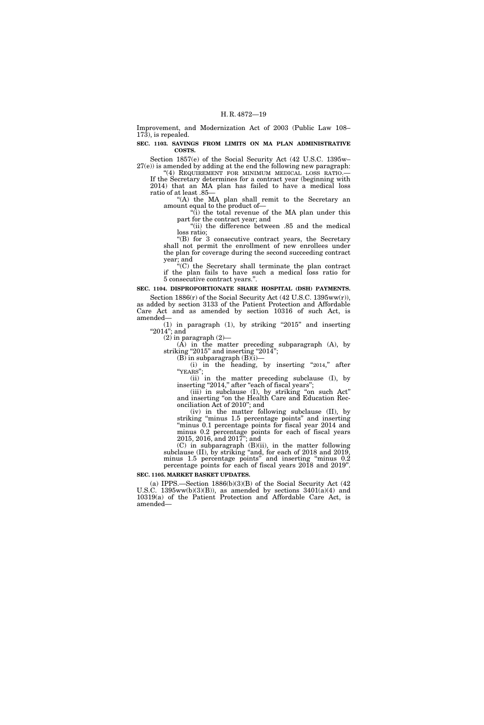Improvement, and Modernization Act of 2003 (Public Law 108– 173), is repealed.

**SEC. 1103. SAVINGS FROM LIMITS ON MA PLAN ADMINISTRATIVE COSTS.** 

Section 1857(e) of the Social Security Act (42 U.S.C. 1395w–  $27(e)$ ) is amended by adding at the end the following new paragraph: "(4) REQUIREMENT FOR MINIMUM MEDICAL LOSS RATIO.

If the Secretary determines for a contract year (beginning with 2014) that an MA plan has failed to have a medical loss ratio of at least .85—

"(A) the MA plan shall remit to the Secretary an amount equal to the product of—

 $\dddot{a}$ ) the total revenue of the MA plan under this part for the contract year; and

"(ii) the difference between .85 and the medical loss ratio;

''(B) for 3 consecutive contract years, the Secretary shall not permit the enrollment of new enrollees under the plan for coverage during the second succeeding contract year; and

''(C) the Secretary shall terminate the plan contract if the plan fails to have such a medical loss ratio for 5 consecutive contract years.''.

**SEC. 1104. DISPROPORTIONATE SHARE HOSPITAL (DSH) PAYMENTS.** 

Section 1886(r) of the Social Security Act (42 U.S.C. 1395ww(r)), as added by section 3133 of the Patient Protection and Affordable Care Act and as amended by section 10316 of such Act, is amended—

(1) in paragraph  $(1)$ , by striking "2015" and inserting " $2014"$ ; and

 $(2)$  in paragraph  $(2)$ –

(A) in the matter preceding subparagraph (A), by striking "2015" and inserting "2014";

 $(B)$  in subparagraph  $(B)(i)$ – (i) in the heading, by inserting "2014," after "YEARS";

(ii) in the matter preceding subclause (I), by inserting "2014," after "each of fiscal years";

(iii) in subclause (I), by striking ''on such Act'' and inserting ''on the Health Care and Education Reconciliation Act of 2010''; and

(iv) in the matter following subclause (II), by striking ''minus 1.5 percentage points'' and inserting ''minus 0.1 percentage points for fiscal year 2014 and minus 0.2 percentage points for each of fiscal years 2015, 2016, and 2017''; and

(C) in subparagraph (B)(ii), in the matter following subclause (II), by striking "and, for each of 2018 and 2019, minus 1.5 percentage points'' and inserting ''minus 0.2 percentage points for each of fiscal years 2018 and 2019''.

# **SEC. 1105. MARKET BASKET UPDATES.**

(a) IPPS.—Section 1886(b)(3)(B) of the Social Security Act (42 U.S.C. 1395ww(b)(3)(B)), as amended by sections  $3401(a)(4)$  and 10319(a) of the Patient Protection and Affordable Care Act, is amended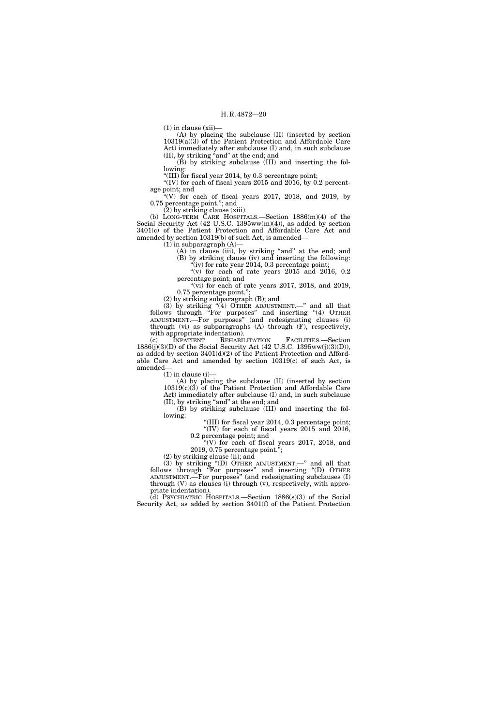$(1)$  in clause  $(xii)$ 

(A) by placing the subclause (II) (inserted by section  $10319(a)(3)$  of the Patient Protection and Affordable Care Act) immediately after subclause (I) and, in such subclause (II), by striking ''and'' at the end; and

(B) by striking subclause (III) and inserting the following:

''(III) for fiscal year 2014, by 0.3 percentage point;

"(IV) for each of fiscal years 2015 and 2016, by 0.2 percentage point; and

 $\degree$ (V) for each of fiscal years 2017, 2018, and 2019, by 0.75 percentage point.''; and

(2) by striking clause (xiii).

(b) LONG-TERM CARE HOSPITALS.—Section 1886(m)(4) of the Social Security Act (42 U.S.C. 1395ww(m)(4)), as added by section 3401(c) of the Patient Protection and Affordable Care Act and amended by section 10319(b) of such Act, is amended—

 $(1)$  in subparagraph  $(A)$ —

- (A) in clause (iii), by striking "and" at the end; and (B) by striking clause (iv) and inserting the following:
- $\tilde{f}(iv)$  for rate year 2014, 0.3 percentage point; "(v) for each of rate years  $2015$  and  $2016$ ,  $0.2$ percentage point; and

"(vi) for each of rate years 2017, 2018, and 2019, 0.75 percentage point.'';

(2) by striking subparagraph (B); and

(3) by striking ''(4) OTHER ADJUSTMENT.—'' and all that follows through ''For purposes'' and inserting ''(4) OTHER ADJUSTMENT.—For purposes'' (and redesignating clauses (i) through (vi) as subparagraphs (A) through (F), respectively, with appropriate indentation).<br>
(c) INPATIENT REHABILITATION

(c) INPATIENT REHABILITATION FACILITIES.—Section 1886(j)(3)(D) of the Social Security Act (42 U.S.C. 1395ww(j)(3)(D)), as added by section 3401(d)(2) of the Patient Protection and Affordable Care Act and amended by section 10319(c) of such Act, is amended—

 $(1)$  in clause  $(i)$ —

(A) by placing the subclause (II) (inserted by section  $10319(c)(3)$  of the Patient Protection and Affordable Care Act) immediately after subclause (I) and, in such subclause (II), by striking ''and'' at the end; and

(B) by striking subclause (III) and inserting the following:

''(III) for fiscal year 2014, 0.3 percentage point; "(IV) for each of fiscal years  $2015$  and  $2016$ ,

0.2 percentage point; and "(V) for each of fiscal years  $2017$ ,  $2018$ , and

2019, 0.75 percentage point.'';

(2) by striking clause (ii); and

(3) by striking ''(D) OTHER ADJUSTMENT.—'' and all that follows through "For purposes" and inserting "(D) OTHER ADJUSTMENT.—For purposes'' (and redesignating subclauses (I) through  $(V)$  as clauses  $(i)$  through  $(v)$ , respectively, with appropriate indentation).

(d) PSYCHIATRIC HOSPITALS.—Section 1886(s)(3) of the Social Security Act, as added by section 3401(f) of the Patient Protection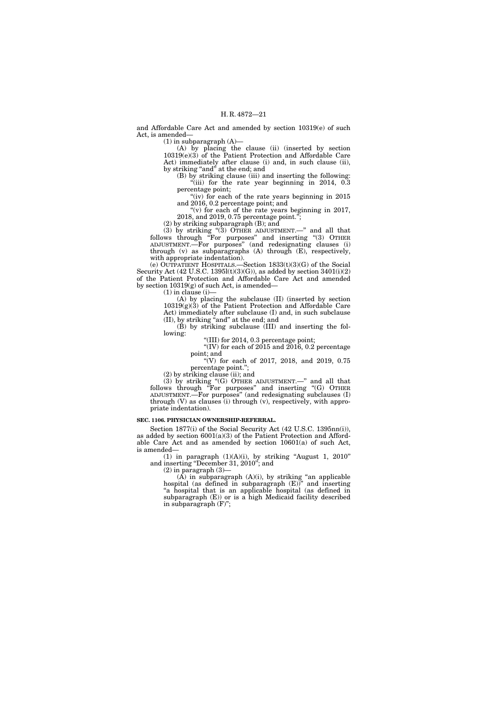and Affordable Care Act and amended by section 10319(e) of such Act, is amended—

 $(1)$  in subparagraph  $(A)$ —

(A) by placing the clause (ii) (inserted by section 10319(e)(3) of the Patient Protection and Affordable Care Act) immediately after clause (i) and, in such clause (ii), by striking ''and'' at the end; and

(B) by striking clause (iii) and inserting the following: "(iii) for the rate year beginning in 2014, 0.3 percentage point;

"(iv) for each of the rate years beginning in  $2015$ and 2016, 0.2 percentage point; and

"(v) for each of the rate years beginning in 2017, 2018, and 2019, 0.75 percentage point.'';

(2) by striking subparagraph (B); and

(3) by striking ''(3) OTHER ADJUSTMENT.—'' and all that follows through "For purposes" and inserting "(3) OTHER ADJUSTMENT.—For purposes'' (and redesignating clauses (i) through (v) as subparagraphs (A) through (E), respectively, with appropriate indentation).

(e) OUTPATIENT HOSPITALS.—Section 1833(t)(3)(G) of the Social Security Act (42 U.S.C. 1395l(t)(3)(G)), as added by section  $3401(i)(2)$ of the Patient Protection and Affordable Care Act and amended by section 10319(g) of such Act, is amended—

 $(1)$  in clause  $(i)$ -

(A) by placing the subclause (II) (inserted by section 10319(g)(3) of the Patient Protection and Affordable Care Act) immediately after subclause (I) and, in such subclause (II), by striking ''and'' at the end; and

(B) by striking subclause (III) and inserting the following:

''(III) for 2014, 0.3 percentage point;

"(IV) for each of  $2015$  and  $2016$ , 0.2 percentage point; and

"(V) for each of 2017, 2018, and 2019, 0.75 percentage point.'';

 $(2)$  by striking clause (ii); and

(3) by striking " $(G)$  OTHER ADJUSTMENT.—" and all that follows through "For purposes" and inserting "(G) OTHER ADJUSTMENT.—For purposes'' (and redesignating subclauses (I) through (V) as clauses (i) through (v), respectively, with appropriate indentation).

# **SEC. 1106. PHYSICIAN OWNERSHIP-REFERRAL.**

Section 1877(i) of the Social Security Act (42 U.S.C. 1395nn(i)), as added by section 6001(a)(3) of the Patient Protection and Affordable Care Act and as amended by section 10601(a) of such Act, is amended—

(1) in paragraph  $(1)(A)(i)$ , by striking "August 1, 2010" and inserting ''December 31, 2010''; and

 $(2)$  in paragraph  $(3)$ 

 $(A)$  in subparagraph  $(A)(i)$ , by striking "an applicable hospital (as defined in subparagraph  $(E)$ )" and inserting ''a hospital that is an applicable hospital (as defined in subparagraph (E)) or is a high Medicaid facility described in subparagraph (F)'';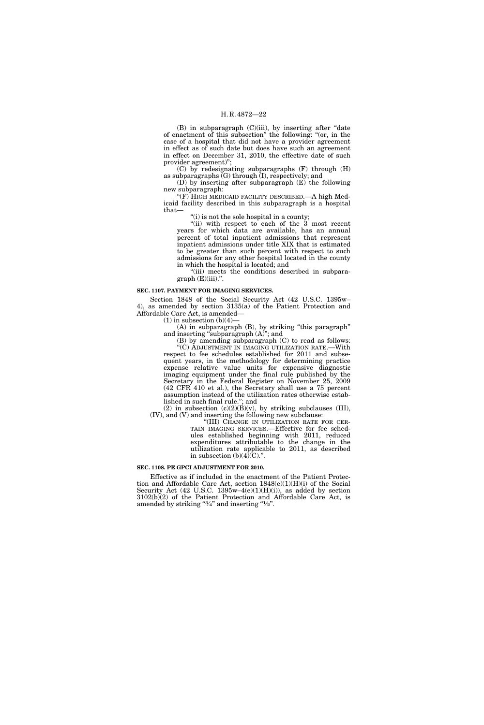$(B)$  in subparagraph  $(C)(iii)$ , by inserting after "date" of enactment of this subsection'' the following: ''(or, in the case of a hospital that did not have a provider agreement in effect as of such date but does have such an agreement in effect on December 31, 2010, the effective date of such provider agreement)'';

(C) by redesignating subparagraphs (F) through (H) as subparagraphs  $(G)$  through  $(I)$ , respectively; and

(D) by inserting after subparagraph (E) the following new subparagraph:

''(F) HIGH MEDICAID FACILITY DESCRIBED.—A high Medicaid facility described in this subparagraph is a hospital that—

"(i) is not the sole hospital in a county;

''(ii) with respect to each of the 3 most recent years for which data are available, has an annual percent of total inpatient admissions that represent inpatient admissions under title XIX that is estimated to be greater than such percent with respect to such admissions for any other hospital located in the county in which the hospital is located; and

"(iii) meets the conditions described in subpara $graph(E)(iii)$ .".

# **SEC. 1107. PAYMENT FOR IMAGING SERVICES.**

Section 1848 of the Social Security Act (42 U.S.C. 1395w– 4), as amended by section 3135(a) of the Patient Protection and Affordable Care Act, is amended—

 $(1)$  in subsection  $(b)(4)$ —

(A) in subparagraph (B), by striking ''this paragraph'' and inserting ''subparagraph (A)''; and

(B) by amending subparagraph (C) to read as follows: ''(C) ADJUSTMENT IN IMAGING UTILIZATION RATE.—With respect to fee schedules established for 2011 and subsequent years, in the methodology for determining practice expense relative value units for expensive diagnostic imaging equipment under the final rule published by the Secretary in the Federal Register on November 25, 2009 (42 CFR 410 et al.), the Secretary shall use a 75 percent assumption instead of the utilization rates otherwise established in such final rule.''; and

(2) in subsection  $(c)(2)(B)(v)$ , by striking subclauses (III), (IV), and (V) and inserting the following new subclause:

'(III) CHANGE IN UTILIZATION RATE FOR CER-TAIN IMAGING SERVICES.—Effective for fee schedules established beginning with 2011, reduced expenditures attributable to the change in the utilization rate applicable to 2011, as described in subsection  $(b)(4)(C)$ .".

# **SEC. 1108. PE GPCI ADJUSTMENT FOR 2010.**

Effective as if included in the enactment of the Patient Protection and Affordable Care Act, section 1848(e)(1)(H)(i) of the Social Security Act (42 U.S.C. 1395w-4(e)(1)(H)(i)), as added by section 3102(b)(2) of the Patient Protection and Affordable Care Act, is amended by striking " $\frac{3}{4}$ " and inserting " $\frac{1}{2}$ ".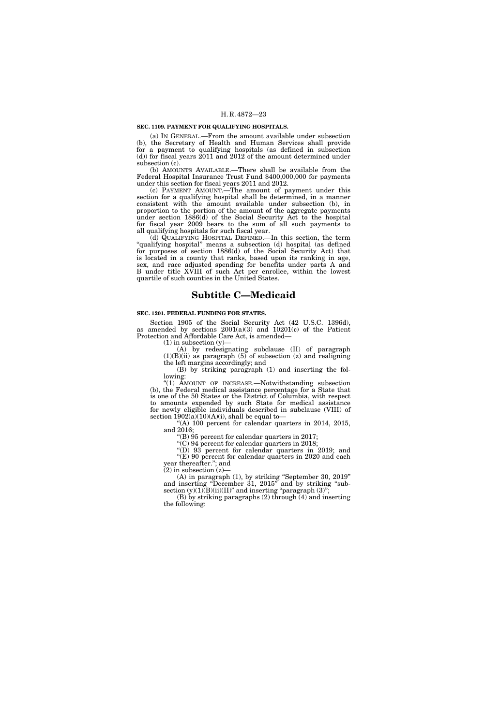# **SEC. 1109. PAYMENT FOR QUALIFYING HOSPITALS.**

(a) IN GENERAL.—From the amount available under subsection (b), the Secretary of Health and Human Services shall provide for a payment to qualifying hospitals (as defined in subsection (d)) for fiscal years 2011 and 2012 of the amount determined under subsection (c).

(b) AMOUNTS AVAILABLE.—There shall be available from the Federal Hospital Insurance Trust Fund \$400,000,000 for payments under this section for fiscal years 2011 and 2012.

(c) PAYMENT AMOUNT.—The amount of payment under this section for a qualifying hospital shall be determined, in a manner consistent with the amount available under subsection (b), in proportion to the portion of the amount of the aggregate payments under section 1886(d) of the Social Security Act to the hospital for fiscal year 2009 bears to the sum of all such payments to all qualifying hospitals for such fiscal year.

(d) QUALIFYING HOSPITAL DEFINED.—In this section, the term "qualifying hospital" means a subsection (d) hospital (as defined for purposes of section 1886(d) of the Social Security Act) that is located in a county that ranks, based upon its ranking in age, sex, and race adjusted spending for benefits under parts A and B under title XVIII of such Act per enrollee, within the lowest quartile of such counties in the United States.

# **Subtitle C—Medicaid**

### **SEC. 1201. FEDERAL FUNDING FOR STATES.**

Section 1905 of the Social Security Act (42 U.S.C. 1396d), as amended by sections 2001(a)(3) and 10201(c) of the Patient Protection and Affordable Care Act, is amended—

 $(1)$  in subsection  $(y)$ —

(A) by redesignating subclause (II) of paragraph  $(1)(B)(ii)$  as paragraph  $(5)$  of subsection  $(z)$  and realigning the left margins accordingly; and

(B) by striking paragraph (1) and inserting the following:

"(1) AMOUNT OF INCREASE.—Notwithstanding subsection (b), the Federal medical assistance percentage for a State that is one of the 50 States or the District of Columbia, with respect to amounts expended by such State for medical assistance for newly eligible individuals described in subclause (VIII) of section  $1902(a)(10)(A)(i)$ , shall be equal to-

''(A) 100 percent for calendar quarters in 2014, 2015, and 2016;

''(B) 95 percent for calendar quarters in 2017;

 $C($  $C)$  94 percent for calendar quarters in 2018;

"(D)  $93$  percent for calendar quarters in 2019; and ''(E) 90 percent for calendar quarters in 2020 and each year thereafter.''; and

 $(2)$  in subsection  $(z)$ 

(A) in paragraph (1), by striking ''September 30, 2019'' and inserting "December 31, 2015" and by striking "subsection  $(y)(1)(B)(ii)(II)'$  and inserting "paragraph  $(3)$ ";

(B) by striking paragraphs (2) through (4) and inserting the following: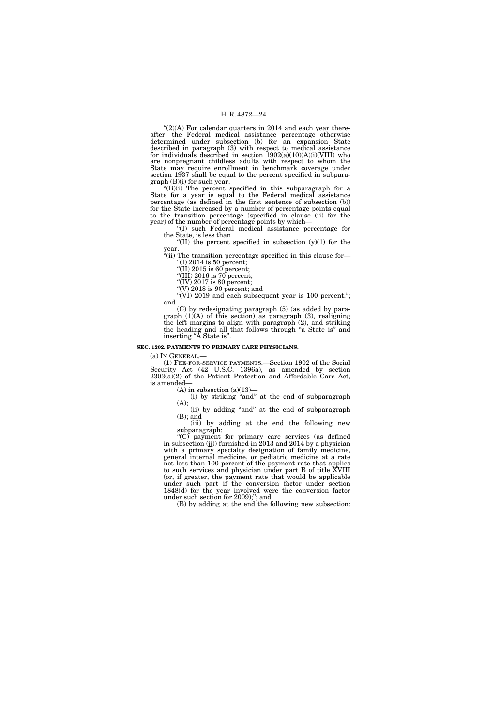" $(2)(A)$  For calendar quarters in 2014 and each year thereafter, the Federal medical assistance percentage otherwise determined under subsection (b) for an expansion State described in paragraph (3) with respect to medical assistance for individuals described in section  $1902(a)(10)(A)(i)(VIII)$  who are nonpregnant childless adults with respect to whom the State may require enrollment in benchmark coverage under section 1937 shall be equal to the percent specified in subparagraph (B)(i) for such year.

 $H(B)(i)$  The percent specified in this subparagraph for a State for a year is equal to the Federal medical assistance percentage (as defined in the first sentence of subsection (b)) for the State increased by a number of percentage points equal to the transition percentage (specified in clause (ii) for the year) of the number of percentage points by which—

''(I) such Federal medical assistance percentage for the State, is less than

"(II) the percent specified in subsection  $(y)(1)$  for the year.

''(ii) The transition percentage specified in this clause for— "(I) 2014 is 50 percent;

 $\sqrt{\text{II}}$ ) 2015 is 60 percent;

"(III) 2016 is 70 percent;

"(IV) 2017 is 80 percent;

"(V)  $2018$  is 90 percent; and

"(VI) 2019 and each subsequent year is 100 percent."; and

(C) by redesignating paragraph (5) (as added by paragraph (1)(A) of this section) as paragraph (3), realigning the left margins to align with paragraph (2), and striking the heading and all that follows through "a State is" and inserting "A State is".

# **SEC. 1202. PAYMENTS TO PRIMARY CARE PHYSICIANS.**

(a) IN GENERAL.— (1) FEE-FOR-SERVICE PAYMENTS.—Section 1902 of the Social Security Act (42 U.S.C. 1396a), as amended by section  $2303(a)(2)$  of the Patient Protection and Affordable Care Act, is amended—

 $(A)$  in subsection  $(a)(13)$ 

(i) by striking ''and'' at the end of subparagraph (A);

(ii) by adding ''and'' at the end of subparagraph (B); and

(iii) by adding at the end the following new subparagraph:

''(C) payment for primary care services (as defined in subsection (jj)) furnished in 2013 and 2014 by a physician with a primary specialty designation of family medicine, general internal medicine, or pediatric medicine at a rate not less than 100 percent of the payment rate that applies to such services and physician under part B of title XVIII (or, if greater, the payment rate that would be applicable under such part if the conversion factor under section 1848(d) for the year involved were the conversion factor under such section for 2009);''; and

(B) by adding at the end the following new subsection: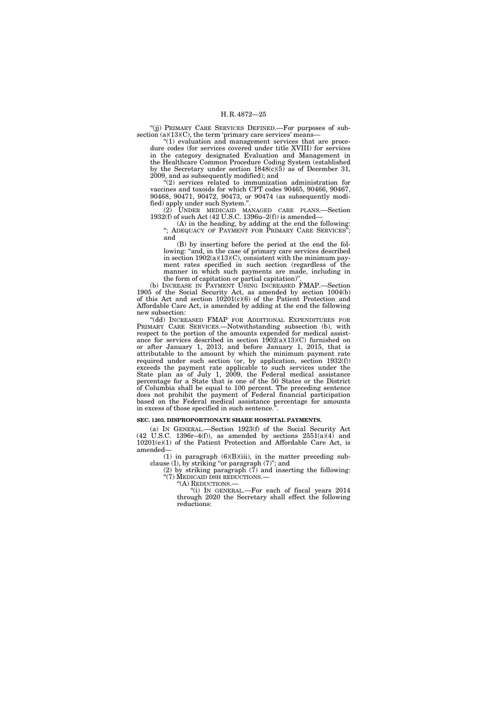''(jj) PRIMARY CARE SERVICES DEFINED.—For purposes of subsection  $(a)(13)(C)$ , the term 'primary care services' means-

"(1) evaluation and management services that are procedure codes (for services covered under title XVIII) for services in the category designated Evaluation and Management in the Healthcare Common Procedure Coding System (established by the Secretary under section  $1848(c)(5)$  as of December 31, 2009, and as subsequently modified); and

"(2) services related to immunization administration for vaccines and toxoids for which CPT codes 90465, 90466, 90467, 90468, 90471, 90472, 90473, or 90474 (as subsequently modified) apply under such System.''.

(2) UNDER MEDICAID MANAGED CARE PLANS.—Section 1932(f) of such Act (42 U.S.C. 1396u–2(f)) is amended—

(A) in the heading, by adding at the end the following: "; ADEQUACY OF PAYMENT FOR PRIMARY CARE SERVICES"; and

(B) by inserting before the period at the end the following: "and, in the case of primary care services described in section  $1902(a)(13)(C)$ , consistent with the minimum payment rates specified in such section (regardless of the manner in which such payments are made, including in the form of capitation or partial capitation)''.

(b) INCREASE IN PAYMENT USING INCREASED FMAP.—Section 1905 of the Social Security Act, as amended by section 1004(b) of this Act and section 10201(c)(6) of the Patient Protection and Affordable Care Act, is amended by adding at the end the following new subsection:

"(dd) INCREASED FMAP FOR ADDITIONAL EXPENDITURES FOR PRIMARY CARE SERVICES.—Notwithstanding subsection (b), with respect to the portion of the amounts expended for medical assistance for services described in section  $1902(a)(13)(C)$  furnished on or after January 1, 2013, and before January 1, 2015, that is attributable to the amount by which the minimum payment rate required under such section (or, by application, section 1932(f)) exceeds the payment rate applicable to such services under the State plan as of July 1, 2009, the Federal medical assistance percentage for a State that is one of the 50 States or the District of Columbia shall be equal to 100 percent. The preceding sentence does not prohibit the payment of Federal financial participation based on the Federal medical assistance percentage for amounts in excess of those specified in such sentence.'

# **SEC. 1203. DISPROPORTIONATE SHARE HOSPITAL PAYMENTS.**

(a) IN GENERAL.—Section 1923(f) of the Social Security Act  $(42 \text{ U.S.C. } 1396r-4(f))$ , as amended by sections  $2551(a)(4)$  and 10201(e)(1) of the Patient Protection and Affordable Care Act, is amended—

 $(1)$  in paragraph  $(6)(B)(iii)$ , in the matter preceding subclause (I), by striking ''or paragraph (7)''; and

(2) by striking paragraph (7) and inserting the following: ''(7) MEDICAID DSH REDUCTIONS.—

''(A) REDUCTIONS.—

''(i) IN GENERAL.—For each of fiscal years 2014 through 2020 the Secretary shall effect the following reductions: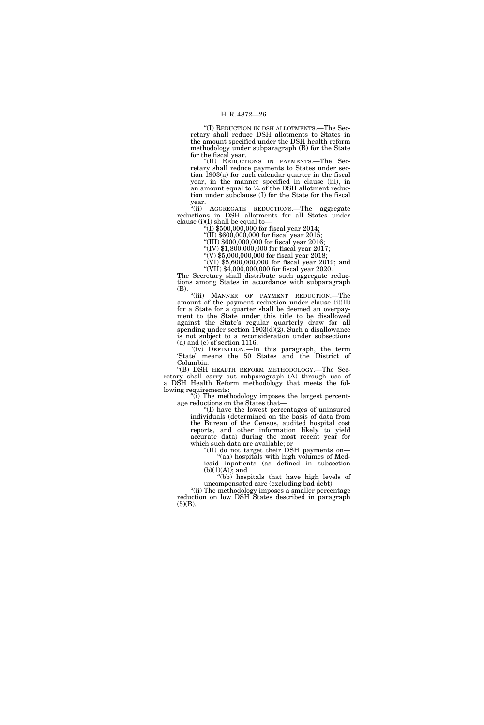''(I) REDUCTION IN DSH ALLOTMENTS.—The Secretary shall reduce DSH allotments to States in the amount specified under the DSH health reform methodology under subparagraph (B) for the State for the fiscal year.

''(II) REDUCTIONS IN PAYMENTS.—The Secretary shall reduce payments to States under section 1903(a) for each calendar quarter in the fiscal year, in the manner specified in clause (iii), in an amount equal to  $\frac{1}{4}$  of the DSH allotment reduction under subclause (I) for the State for the fiscal year.

''(ii) AGGREGATE REDUCTIONS.—The aggregate reductions in DSH allotments for all States under clause (i)(I) shall be equal to—

 $f(1)$  \$500,000,000 for fiscal year 2014;

 $''(II)$  \$600,000,000 for fiscal year 2015;

''(III) \$600,000,000 for fiscal year 2016;

''(IV) \$1,800,000,000 for fiscal year 2017;  $''(V)$ \$5,000,000,000 for fiscal year 2018;

 $\sqrt[4]{(V1)}$  \$5,600,000,000 for fiscal year 2019; and

''(VII) \$4,000,000,000 for fiscal year 2020.

The Secretary shall distribute such aggregate reductions among States in accordance with subparagraph (B).

"(iii) MANNER OF PAYMENT REDUCTION.-The amount of the payment reduction under clause (i)(II) for a State for a quarter shall be deemed an overpayment to the State under this title to be disallowed against the State's regular quarterly draw for all spending under section 1903(d)(2). Such a disallowance is not subject to a reconsideration under subsections (d) and (e) of section 1116.

''(iv) DEFINITION.—In this paragraph, the term 'State' means the 50 States and the District of Columbia.

''(B) DSH HEALTH REFORM METHODOLOGY.—The Secretary shall carry out subparagraph (A) through use of a DSH Health Reform methodology that meets the following requirements:

 $\tilde{f}$ ) The methodology imposes the largest percentage reductions on the States that—

''(I) have the lowest percentages of uninsured individuals (determined on the basis of data from the Bureau of the Census, audited hospital cost reports, and other information likely to yield accurate data) during the most recent year for which such data are available; or

''(II) do not target their DSH payments on— "(aa) hospitals with high volumes of Medicaid inpatients (as defined in subsection  $(b)(1)(A)$ ; and

"(bb) hospitals that have high levels of uncompensated care (excluding bad debt).

"(ii) The methodology imposes a smaller percentage reduction on low DSH States described in paragraph  $(5)(B)$ .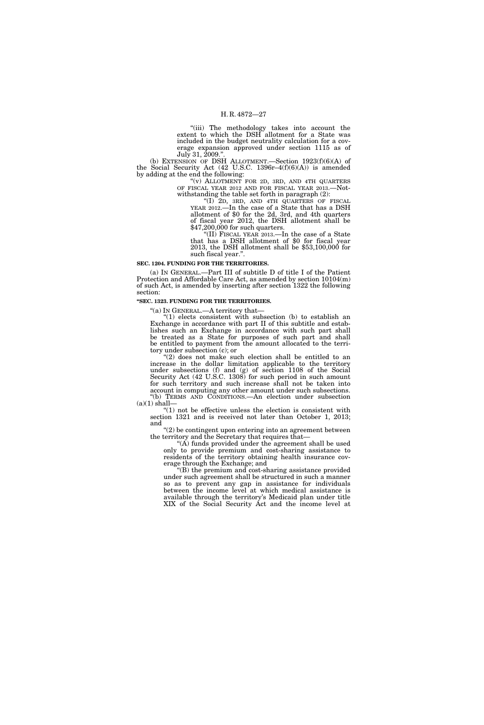''(iii) The methodology takes into account the extent to which the DSH allotment for a State was included in the budget neutrality calculation for a coverage expansion approved under section 1115 as of July 31,  $2009$ ."

(b) EXTENSION OF DSH ALLOTMENT.—Section  $1923(f)(6)(A)$  of the Social Security Act (42 U.S.C. 1396r–4(f)(6)(A)) is amended by adding at the end the following:

''(v) ALLOTMENT FOR 2D, 3RD, AND 4TH QUARTERS OF FISCAL YEAR 2012 AND FOR FISCAL YEAR 2013.—Notwithstanding the table set forth in paragraph (2):

''(I) 2D, 3RD, AND 4TH QUARTERS OF FISCAL YEAR 2012.—In the case of a State that has a DSH allotment of \$0 for the 2d, 3rd, and 4th quarters of fiscal year 2012, the DSH allotment shall be \$47,200,000 for such quarters.

'(II) FISCAL YEAR 2013.—In the case of a State that has a DSH allotment of \$0 for fiscal year 2013, the DSH allotment shall be \$53,100,000 for such fiscal year.''.

#### **SEC. 1204. FUNDING FOR THE TERRITORIES.**

(a) IN GENERAL.—Part III of subtitle D of title I of the Patient Protection and Affordable Care Act, as amended by section 10104(m) of such Act, is amended by inserting after section 1322 the following section:

# **''SEC. 1323. FUNDING FOR THE TERRITORIES.**

''(a) IN GENERAL.—A territory that—

"(1) elects consistent with subsection (b) to establish an Exchange in accordance with part II of this subtitle and establishes such an Exchange in accordance with such part shall be treated as a State for purposes of such part and shall be entitled to payment from the amount allocated to the territory under subsection (c); or

"(2) does not make such election shall be entitled to an increase in the dollar limitation applicable to the territory under subsections (f) and (g) of section 1108 of the Social Security Act (42 U.S.C. 1308) for such period in such amount for such territory and such increase shall not be taken into account in computing any other amount under such subsections. ''(b) TERMS AND CONDITIONS.—An election under subsection  $(a)(1)$  shall-

" $(1)$  not be effective unless the election is consistent with section 1321 and is received not later than October 1, 2013; and

''(2) be contingent upon entering into an agreement between the territory and the Secretary that requires that—

 $(A)$  funds provided under the agreement shall be used only to provide premium and cost-sharing assistance to residents of the territory obtaining health insurance coverage through the Exchange; and

''(B) the premium and cost-sharing assistance provided under such agreement shall be structured in such a manner so as to prevent any gap in assistance for individuals between the income level at which medical assistance is available through the territory's Medicaid plan under title XIX of the Social Security Act and the income level at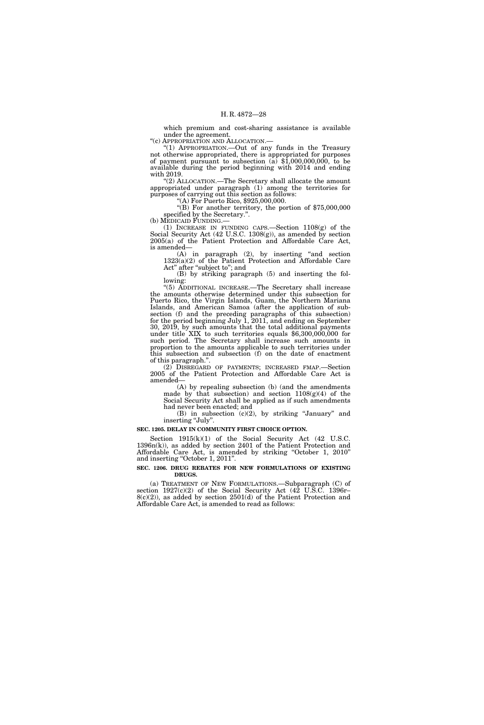which premium and cost-sharing assistance is available under the agreement.<br>"(c) APPROPRIATION AND ALLOCATION.—

"(1) APPROPRIATION.—Out of any funds in the Treasury not otherwise appropriated, there is appropriated for purposes of payment pursuant to subsection  $(a)$  \$1,000,000,000, to be available during the period beginning with 2014 and ending with 2019.

''(2) ALLOCATION.—The Secretary shall allocate the amount appropriated under paragraph (1) among the territories for purposes of carrying out this section as follows: ''(A) For Puerto Rico, \$925,000,000.

''(B) For another territory, the portion of \$75,000,000 specified by the Secretary.".<br>(b) MEDICAID FUNDING.—

(1) INCREASE IN FUNDING CAPS.—Section  $1108(g)$  of the Social Security Act (42 U.S.C. 1308(g)), as amended by section 2005(a) of the Patient Protection and Affordable Care Act, is amended—

(A) in paragraph (2), by inserting ''and section 1323(a)(2) of the Patient Protection and Affordable Care Act" after "subject to"; and

(B) by striking paragraph (5) and inserting the following:

''(5) ADDITIONAL INCREASE.—The Secretary shall increase the amounts otherwise determined under this subsection for Puerto Rico, the Virgin Islands, Guam, the Northern Mariana Islands, and American Samoa (after the application of subsection (f) and the preceding paragraphs of this subsection) for the period beginning July 1, 2011, and ending on September 30, 2019, by such amounts that the total additional payments under title XIX to such territories equals \$6,300,000,000 for such period. The Secretary shall increase such amounts in proportion to the amounts applicable to such territories under this subsection and subsection (f) on the date of enactment of this paragraph.''.

(2) DISREGARD OF PAYMENTS; INCREASED FMAP.—Section 2005 of the Patient Protection and Affordable Care Act is amended—

(A) by repealing subsection (b) (and the amendments made by that subsection) and section  $1108(g)(4)$  of the Social Security Act shall be applied as if such amendments had never been enacted; and

(B) in subsection (c)(2), by striking ''January'' and inserting "July".

### **SEC. 1205. DELAY IN COMMUNITY FIRST CHOICE OPTION.**

Section 1915(k)(1) of the Social Security Act (42 U.S.C. 1396n(k)), as added by section 2401 of the Patient Protection and Affordable Care Act, is amended by striking ''October 1, 2010'' and inserting "October 1, 2011".

# **SEC. 1206. DRUG REBATES FOR NEW FORMULATIONS OF EXISTING DRUGS.**

(a) TREATMENT OF NEW FORMULATIONS.—Subparagraph (C) of section  $1927(c)(2)$  of the Social Security Act (42 U.S.C. 1396r–  $8(c)(2)$ , as added by section 2501(d) of the Patient Protection and Affordable Care Act, is amended to read as follows: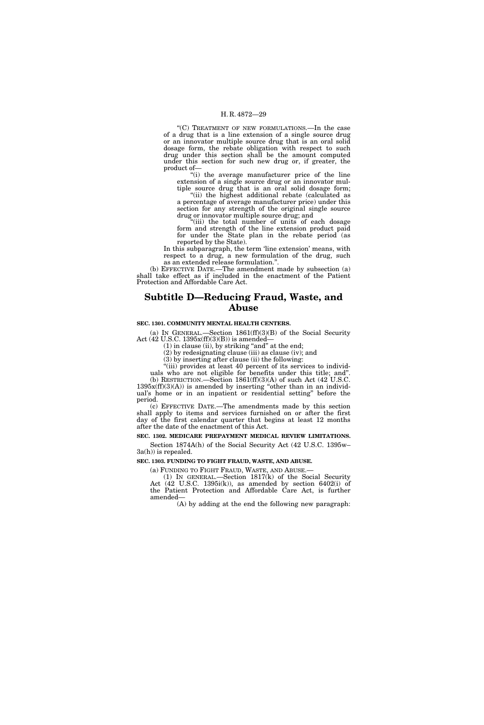''(C) TREATMENT OF NEW FORMULATIONS.—In the case of a drug that is a line extension of a single source drug or an innovator multiple source drug that is an oral solid dosage form, the rebate obligation with respect to such drug under this section shall be the amount computed under this section for such new drug or, if greater, the product of—

"(i) the average manufacturer price of the line extension of a single source drug or an innovator multiple source drug that is an oral solid dosage form;

''(ii) the highest additional rebate (calculated as a percentage of average manufacturer price) under this section for any strength of the original single source drug or innovator multiple source drug; and

"(iii) the total number of units of each dosage form and strength of the line extension product paid for under the State plan in the rebate period (as reported by the State).

In this subparagraph, the term 'line extension' means, with respect to a drug, a new formulation of the drug, such as an extended release formulation.''.

(b) EFFECTIVE DATE.—The amendment made by subsection (a) shall take effect as if included in the enactment of the Patient Protection and Affordable Care Act.

# **Subtitle D—Reducing Fraud, Waste, and Abuse**

### **SEC. 1301. COMMUNITY MENTAL HEALTH CENTERS.**

(a) IN GENERAL.—Section 1861(ff)(3)(B) of the Social Security Act (42 U.S.C. 1395x(ff)(3)(B)) is amended—

 $(1)$  in clause (ii), by striking "and" at the end;

(2) by redesignating clause (iii) as clause (iv); and

(3) by inserting after clause (ii) the following:

"(iii) provides at least 40 percent of its services to individuals who are not eligible for benefits under this title; and''. (b) RESTRICTION.—Section  $1861\text{(ff)}(3)(\text{A})$  of such Act (42 U.S.C.

 $1395x$ (ff)(3)(A)) is amended by inserting "other than in an individual's home or in an inpatient or residential setting'' before the period.

(c) EFFECTIVE DATE.—The amendments made by this section shall apply to items and services furnished on or after the first day of the first calendar quarter that begins at least 12 months after the date of the enactment of this Act.

**SEC. 1302. MEDICARE PREPAYMENT MEDICAL REVIEW LIMITATIONS.** 

Section 1874A(h) of the Social Security Act (42 U.S.C. 1395w– 3a(h)) is repealed.

# **SEC. 1303. FUNDING TO FIGHT FRAUD, WASTE, AND ABUSE.**

(a) FUNDING TO FIGHT FRAUD, WASTE, AND ABUSE.—

(1) IN GENERAL.—Section 1817(k) of the Social Security Act (42 U.S.C. 1395i(k)), as amended by section 6402(i) of the Patient Protection and Affordable Care Act, is further amended—

(A) by adding at the end the following new paragraph: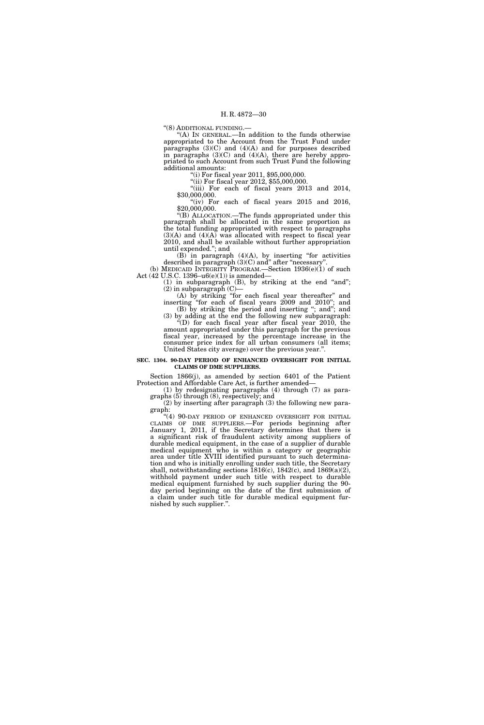''(8) ADDITIONAL FUNDING.—

''(A) IN GENERAL.—In addition to the funds otherwise appropriated to the Account from the Trust Fund under paragraphs (3)(C) and (4)(A) and for purposes described in paragraphs  $(3)(C)$  and  $(4)(A)$ , there are hereby appropriated to such Account from such Trust Fund the following additional amounts:

''(i) For fiscal year 2011, \$95,000,000.

"(ii) For fiscal year 2012, \$55,000,000.

"(iii) For each of fiscal years 2013 and 2014, \$30,000,000.

" $(iv)$  For each of fiscal years 2015 and 2016, \$20,000,000.

''(B) ALLOCATION.—The funds appropriated under this paragraph shall be allocated in the same proportion as the total funding appropriated with respect to paragraphs  $(3)(A)$  and  $(4)(A)$  was allocated with respect to fiscal year 2010, and shall be available without further appropriation until expended.''; and

 $(B)$  in paragraph  $(4)(A)$ , by inserting "for activities" described in paragraph (3)(C) and'' after ''necessary''. (b) MEDICAID INTEGRITY PROGRAM.—Section 1936(e)(1) of such

Act (42 U.S.C. 1396–u6(e)(1)) is amended—  $(1)$  in subparagraph  $(B)$ , by striking at the end "and";

 $(2)$  in subparagraph  $(C)$ –

(A) by striking ''for each fiscal year thereafter'' and inserting ''for each of fiscal years 2009 and 2010''; and (B) by striking the period and inserting "; and"; and

(3) by adding at the end the following new subparagraph:  $\tilde{f}(D)$  for each fiscal year after fiscal year 2010, the amount appropriated under this paragraph for the previous fiscal year, increased by the percentage increase in the consumer price index for all urban consumers (all items; United States city average) over the previous year.''.

# **SEC. 1304. 90-DAY PERIOD OF ENHANCED OVERSIGHT FOR INITIAL CLAIMS OF DME SUPPLIERS.**

Section 1866(j), as amended by section 6401 of the Patient Protection and Affordable Care Act, is further amended—

(1) by redesignating paragraphs (4) through (7) as paragraphs (5) through (8), respectively; and

(2) by inserting after paragraph (3) the following new paragraph:

"(4) 90-DAY PERIOD OF ENHANCED OVERSIGHT FOR INITIAL CLAIMS OF DME SUPPLIERS.—For periods beginning after January 1, 2011, if the Secretary determines that there is a significant risk of fraudulent activity among suppliers of durable medical equipment, in the case of a supplier of durable medical equipment who is within a category or geographic area under title XVIII identified pursuant to such determination and who is initially enrolling under such title, the Secretary shall, notwithstanding sections  $1816(c)$ ,  $1842(c)$ , and  $1869(a)(2)$ , withhold payment under such title with respect to durable medical equipment furnished by such supplier during the 90day period beginning on the date of the first submission of a claim under such title for durable medical equipment furnished by such supplier.''.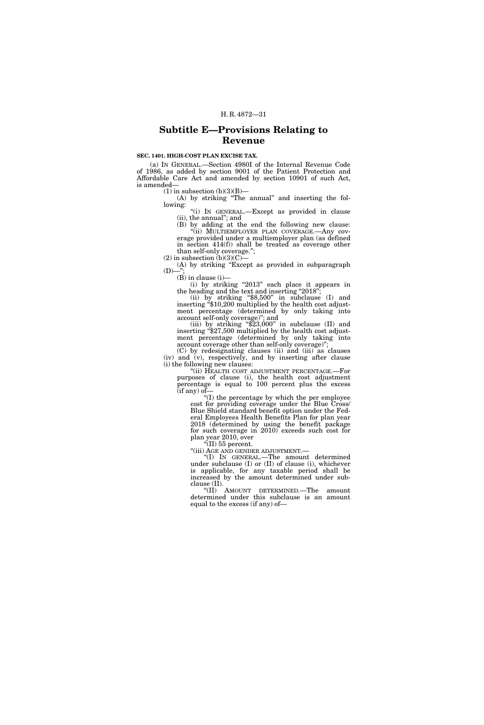# **Subtitle E—Provisions Relating to Revenue**

# **SEC. 1401. HIGH-COST PLAN EXCISE TAX.**

(a) IN GENERAL.—Section 4980I of the Internal Revenue Code of 1986, as added by section 9001 of the Patient Protection and Affordable Care Act and amended by section 10901 of such Act, is amended—

 $(1)$  in subsection  $(b)(3)(B)$ —

(A) by striking ''The annual'' and inserting the following:

''(i) IN GENERAL.—Except as provided in clause (ii), the annual''; and

(B) by adding at the end the following new clause: ''(ii) MULTIEMPLOYER PLAN COVERAGE.—Any coverage provided under a multiemployer plan (as defined in section 414(f)) shall be treated as coverage other than self-only coverage.'';

 $(2)$  in subsection  $(b)(3)(C)$ —

(A) by striking ''Except as provided in subparagraph  $(D)$ -

 $(B)$  in clause  $(i)$ —

(i) by striking "2013" each place it appears in the heading and the text and inserting "2018";

(ii) by striking "\$8,500" in subclause (I) and inserting "\$10,200 multiplied by the health cost adjustment percentage (determined by only taking into account self-only coverage)"; and<br>(iii) by striking "\$23,000" in subclause (II) and

ment percentage (determined by only taking into account coverage other than self-only coverage)'';

(C) by redesignating clauses (ii) and (iii) as clauses (iv) and (v), respectively, and by inserting after clause (i) the following new clauses:

''(ii) HEALTH COST ADJUSTMENT PERCENTAGE.—For purposes of clause (i), the health cost adjustment percentage is equal to 100 percent plus the excess (if any) of—

''(I) the percentage by which the per employee cost for providing coverage under the Blue Cross/ Blue Shield standard benefit option under the Federal Employees Health Benefits Plan for plan year 2018 (determined by using the benefit package for such coverage in 2010) exceeds such cost for plan year 2010, over

"(II)  $55$  percent.

''(iii) AGE AND GENDER ADJUSTMENT.— ''(I) IN GENERAL.—The amount determined under subclause (I) or (II) of clause (i), whichever is applicable, for any taxable period shall be increased by the amount determined under subclause (II).

''(II) AMOUNT DETERMINED.—The amount determined under this subclause is an amount equal to the excess (if any) of—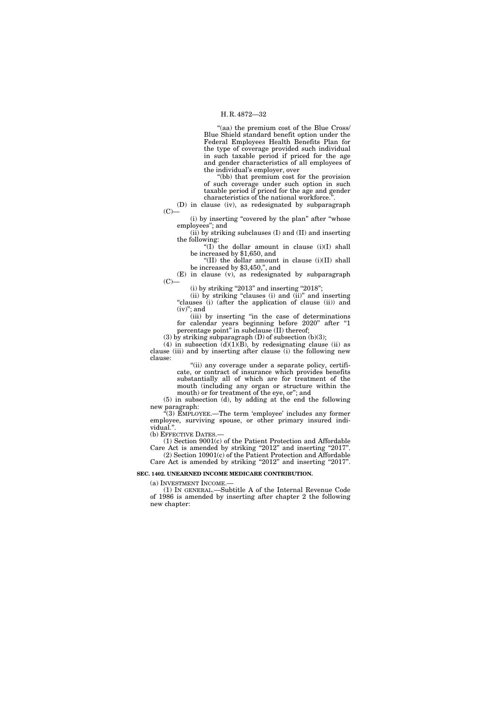''(aa) the premium cost of the Blue Cross/ Blue Shield standard benefit option under the Federal Employees Health Benefits Plan for the type of coverage provided such individual in such taxable period if priced for the age and gender characteristics of all employees of the individual's employer, over

''(bb) that premium cost for the provision of such coverage under such option in such taxable period if priced for the age and gender characteristics of the national workforce.''.

(D) in clause (iv), as redesignated by subparagraph  $(C)$ —

(i) by inserting "covered by the plan" after "whose employees''; and

(ii) by striking subclauses (I) and (II) and inserting the following:

" $(I)$ " the dollar amount in clause  $(i)(I)$  shall be increased by \$1,650, and

''(II) the dollar amount in clause (i)(II) shall be increased by \$3,450,'', and

(E) in clause (v), as redesignated by subparagraph  $(C)$ —

 $(i)$  by striking "2013" and inserting "2018";

(ii) by striking "clauses (i) and (ii)" and inserting "clauses (i) (after the application of clause (ii)) and  $(iv)$ "; and

(iii) by inserting ''in the case of determinations for calendar years beginning before 2020'' after ''1 percentage point'' in subclause (II) thereof;

(3) by striking subparagraph  $(D)$  of subsection (b)(3);

(4) in subsection  $(d)(1)(B)$ , by redesignating clause (ii) as clause (iii) and by inserting after clause (i) the following new clause:

> "(ii) any coverage under a separate policy, certificate, or contract of insurance which provides benefits substantially all of which are for treatment of the mouth (including any organ or structure within the mouth) or for treatment of the eye, or''; and

(5) in subsection (d), by adding at the end the following new paragraph:

''(3) EMPLOYEE.—The term 'employee' includes any former employee, surviving spouse, or other primary insured individual.''.

(b) EFFECTIVE DATES.—

(1) Section 9001(c) of the Patient Protection and Affordable Care Act is amended by striking "2012" and inserting "2017". (2) Section 10901(c) of the Patient Protection and Affordable Care Act is amended by striking "2012" and inserting "2017".

### **SEC. 1402. UNEARNED INCOME MEDICARE CONTRIBUTION.**

(a) INVESTMENT INCOME.—

(1) IN GENERAL.—Subtitle A of the Internal Revenue Code of 1986 is amended by inserting after chapter 2 the following new chapter: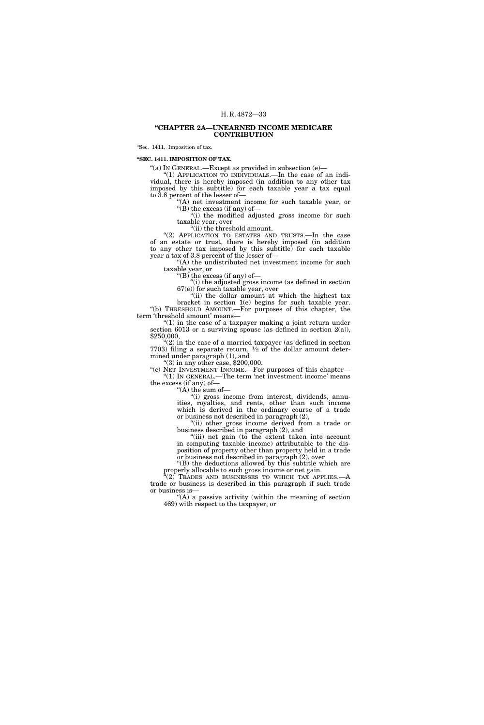# **''CHAPTER 2A—UNEARNED INCOME MEDICARE CONTRIBUTION**

''Sec. 1411. Imposition of tax.

**''SEC. 1411. IMPOSITION OF TAX.** 

''(a) IN GENERAL.—Except as provided in subsection (e)—

" $(1)$  APPLICATION TO INDIVIDUALS.—In the case of an individual, there is hereby imposed (in addition to any other tax imposed by this subtitle) for each taxable year a tax equal to 3.8 percent of the lesser of—

 $(A)$  net investment income for such taxable year, or ''(B) the excess (if any) of—

''(i) the modified adjusted gross income for such taxable year, over

''(ii) the threshold amount.

"(2) APPLICATION TO ESTATES AND TRUSTS.-In the case of an estate or trust, there is hereby imposed (in addition to any other tax imposed by this subtitle) for each taxable year a tax of 3.8 percent of the lesser of—

''(A) the undistributed net investment income for such taxable year, or

" $(B)$  the excess (if any) of-

''(i) the adjusted gross income (as defined in section 67(e)) for such taxable year, over

"(ii) the dollar amount at which the highest tax bracket in section 1(e) begins for such taxable year. ''(b) THRESHOLD AMOUNT.—For purposes of this chapter, the term 'threshold amount' means—

" $(1)$  in the case of a taxpayer making a joint return under section 6013 or a surviving spouse (as defined in section  $2(a)$ ), \$250,000,

 $(2)$  in the case of a married taxpayer (as defined in section 7703) filing a separate return,  $\frac{1}{2}$  of the dollar amount determined under paragraph (1), and

 $(3)$  in any other case, \$200,000.

"(c) NET INVESTMENT INCOME.—For purposes of this chapter— ''(1) IN GENERAL.—The term 'net investment income' means the excess (if any) of—

 $\mathcal{H}(\mathbf{A})$  the sum of-

''(i) gross income from interest, dividends, annuities, royalties, and rents, other than such income which is derived in the ordinary course of a trade or business not described in paragraph (2),

"(ii) other gross income derived from a trade or business described in paragraph (2), and

"(iii) net gain (to the extent taken into account in computing taxable income) attributable to the disposition of property other than property held in a trade or business not described in paragraph (2), over

" $(B)$  the deductions allowed by this subtitle which are properly allocable to such gross income or net gain.

 $(2)$  Trades and businesses to which tax applies. $-A$ trade or business is described in this paragraph if such trade or business is—

"(A) a passive activity (within the meaning of section 469) with respect to the taxpayer, or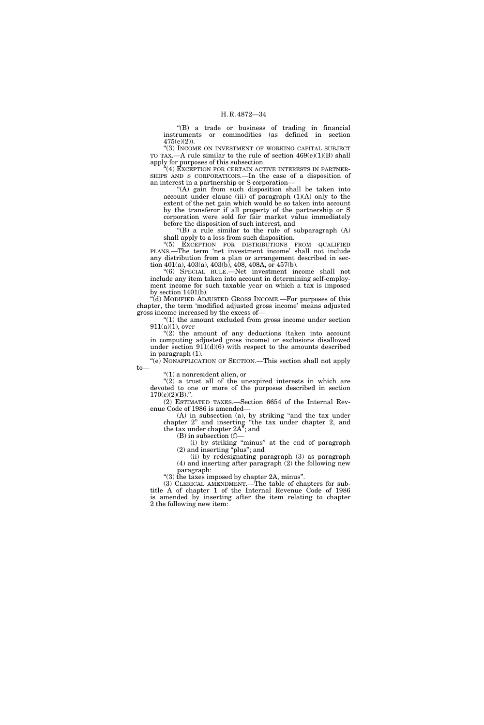''(B) a trade or business of trading in financial instruments or commodities (as defined in section 475(e)(2)).

''(3) INCOME ON INVESTMENT OF WORKING CAPITAL SUBJECT TO TAX.—A rule similar to the rule of section  $469(e)(1)(B)$  shall apply for purposes of this subsection.

(4) EXCEPTION FOR CERTAIN ACTIVE INTERESTS IN PARTNER-SHIPS AND S CORPORATIONS.—In the case of a disposition of an interest in a partnership or S corporation—

''(A) gain from such disposition shall be taken into account under clause (iii) of paragraph  $(1)(A)$  only to the extent of the net gain which would be so taken into account by the transferor if all property of the partnership or S corporation were sold for fair market value immediately before the disposition of such interest, and

''(B) a rule similar to the rule of subparagraph (A) shall apply to a loss from such disposition.

''(5) EXCEPTION FOR DISTRIBUTIONS FROM QUALIFIED PLANS.—The term 'net investment income' shall not include any distribution from a plan or arrangement described in section 401(a), 403(a), 403(b), 408, 408A, or 457(b).

''(6) SPECIAL RULE.—Net investment income shall not include any item taken into account in determining self-employment income for such taxable year on which a tax is imposed by section 1401(b).

''(d) MODIFIED ADJUSTED GROSS INCOME.—For purposes of this chapter, the term 'modified adjusted gross income' means adjusted gross income increased by the excess of—

 $''(1)$  the amount excluded from gross income under section 911(a)(1), over

"(2) the amount of any deductions (taken into account in computing adjusted gross income) or exclusions disallowed under section  $911(d)(6)$  with respect to the amounts described in paragraph (1).

''(e) NONAPPLICATION OF SECTION.—This section shall not apply to—

''(1) a nonresident alien, or

 $''(2)$  a trust all of the unexpired interests in which are devoted to one or more of the purposes described in section  $170(c)(2)(B)$ .".

(2) ESTIMATED TAXES.—Section 6654 of the Internal Revenue Code of 1986 is amended—

(A) in subsection (a), by striking ''and the tax under chapter 2'' and inserting ''the tax under chapter 2, and the tax under chapter 2A''; and

 $(B)$  in subsection  $(f)$ —

(i) by striking ''minus'' at the end of paragraph (2) and inserting ''plus''; and

(ii) by redesignating paragraph (3) as paragraph (4) and inserting after paragraph (2) the following new paragraph:

''(3) the taxes imposed by chapter 2A, minus''.

(3) CLERICAL AMENDMENT.—The table of chapters for subtitle A of chapter 1 of the Internal Revenue Code of 1986 is amended by inserting after the item relating to chapter 2 the following new item: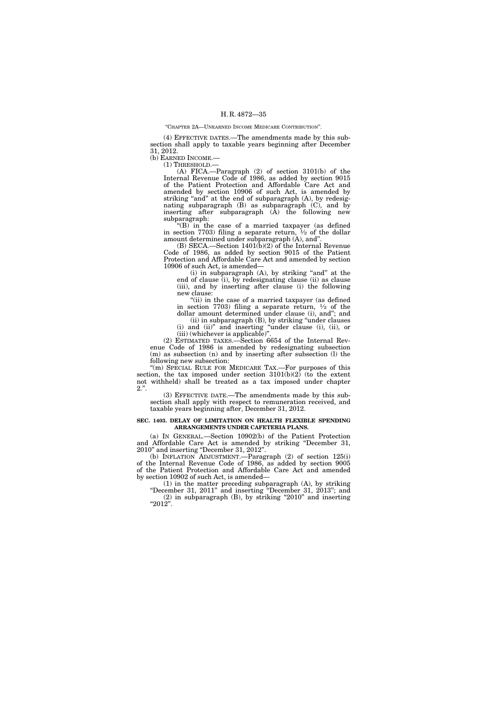# ''CHAPTER 2A—UNEARNED INCOME MEDICARE CONTRIBUTION''.

(4) EFFECTIVE DATES.—The amendments made by this subsection shall apply to taxable years beginning after December 31, 2012.

(b) EARNED INCOME.—

(1) THRESHOLD.—

(A) FICA.—Paragraph (2) of section 3101(b) of the Internal Revenue Code of 1986, as added by section 9015 of the Patient Protection and Affordable Care Act and amended by section 10906 of such Act, is amended by striking "and" at the end of subparagraph (A), by redesignating subparagraph (B) as subparagraph (C), and by inserting after subparagraph (A) the following new subparagraph:

''(B) in the case of a married taxpayer (as defined in section 7703) filing a separate return,  $\frac{1}{2}$  of the dollar amount determined under subparagraph (A), and''.

(B) SECA.—Section  $1401(b)(2)$  of the Internal Revenue Code of 1986, as added by section 9015 of the Patient Protection and Affordable Care Act and amended by section 10906 of such Act, is amended—

(i) in subparagraph (A), by striking "and" at the end of clause (i), by redesignating clause (ii) as clause (iii), and by inserting after clause (i) the following new clause:

"(ii) in the case of a married taxpayer (as defined in section 7703) filing a separate return,  $\frac{1}{2}$  of the dollar amount determined under clause (i), and''; and

(ii) in subparagraph (B), by striking ''under clauses (i) and (ii)'' and inserting ''under clause (i), (ii), or (iii) (whichever is applicable)''.

(2) ESTIMATED TAXES.—Section 6654 of the Internal Revenue Code of 1986 is amended by redesignating subsection (m) as subsection (n) and by inserting after subsection (l) the following new subsection:

"(m) SPECIAL RULE FOR MEDICARE TAX.—For purposes of this section, the tax imposed under section  $3101(b)(2)$  (to the extent not withheld) shall be treated as a tax imposed under chapter  $2.$ ".

(3) EFFECTIVE DATE.—The amendments made by this subsection shall apply with respect to remuneration received, and taxable years beginning after, December 31, 2012.

### **SEC. 1403. DELAY OF LIMITATION ON HEALTH FLEXIBLE SPENDING ARRANGEMENTS UNDER CAFETERIA PLANS.**

(a) IN GENERAL.—Section 10902(b) of the Patient Protection and Affordable Care Act is amended by striking ''December 31, 2010'' and inserting ''December 31, 2012''.

(b) INFLATION ADJUSTMENT.—Paragraph (2) of section 125(i) of the Internal Revenue Code of 1986, as added by section 9005 of the Patient Protection and Affordable Care Act and amended by section 10902 of such Act, is amended—

(1) in the matter preceding subparagraph (A), by striking ''December 31, 2011'' and inserting ''December 31, 2013''; and  $(2)$  in subparagraph  $(B)$ , by striking "2010" and inserting

 $"2012".$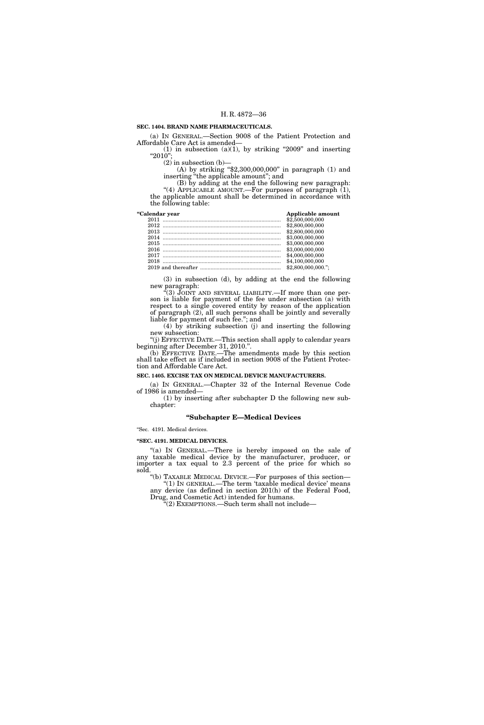# **SEC. 1404. BRAND NAME PHARMACEUTICALS.**

(a) IN GENERAL.—Section 9008 of the Patient Protection and Affordable Care Act is amended—

(1) in subsection (a)(1), by striking "2009" and inserting ''2010'';

(2) in subsection (b)—

(A) by striking ''\$2,300,000,000'' in paragraph (1) and inserting ''the applicable amount''; and

(B) by adding at the end the following new paragraph: "(4) APPLICABLE AMOUNT. For purposes of paragraph (1), the applicable amount shall be determined in accordance with the following table:

| "Calendar year | Applicable amount  |
|----------------|--------------------|
|                | \$2,500,000,000    |
|                | \$2,800,000,000    |
|                | \$2,800,000,000    |
|                | \$3,000,000,000    |
|                | \$3,000,000,000    |
|                | \$3,000,000,000    |
|                | \$4,000,000,000    |
| 2018           | \$4,100,000,000    |
|                | \$2,800,000,000."; |

(3) in subsection (d), by adding at the end the following new paragraph:

''(3) JOINT AND SEVERAL LIABILITY.—If more than one person is liable for payment of the fee under subsection (a) with respect to a single covered entity by reason of the application of paragraph (2), all such persons shall be jointly and severally liable for payment of such fee.''; and

(4) by striking subsection (j) and inserting the following new subsection:

''(j) EFFECTIVE DATE.—This section shall apply to calendar years beginning after December 31, 2010.''.

(b) EFFECTIVE DATE.—The amendments made by this section shall take effect as if included in section 9008 of the Patient Protection and Affordable Care Act.

**SEC. 1405. EXCISE TAX ON MEDICAL DEVICE MANUFACTURERS.** 

(a) IN GENERAL.—Chapter 32 of the Internal Revenue Code of 1986 is amended—

(1) by inserting after subchapter D the following new subchapter:

# **''Subchapter E—Medical Devices**

''Sec. 4191. Medical devices.

# **''SEC. 4191. MEDICAL DEVICES.**

"(a) IN GENERAL.—There is hereby imposed on the sale of any taxable medical device by the manufacturer, producer, or importer a tax equal to 2.3 percent of the price for which so sold.

''(b) TAXABLE MEDICAL DEVICE.—For purposes of this section— "(1) In GENERAL.—The term 'taxable medical device' means any device (as defined in section 201(h) of the Federal Food,

Drug, and Cosmetic Act) intended for humans. ''(2) EXEMPTIONS.—Such term shall not include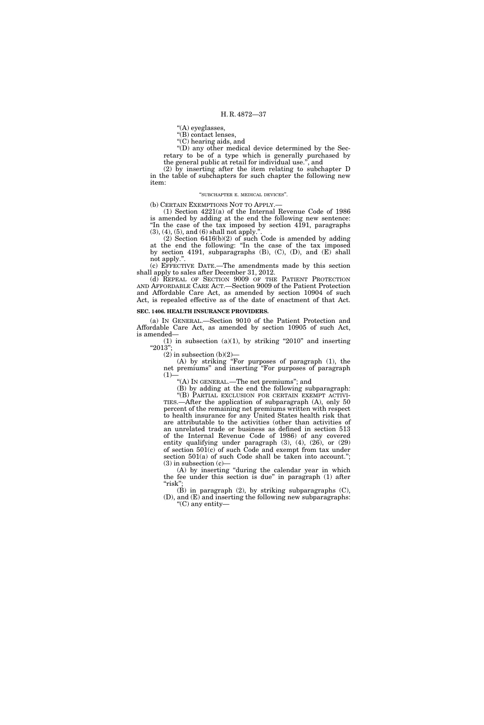''(A) eyeglasses,

''(B) contact lenses,

''(C) hearing aids, and

"(D) any other medical device determined by the Secretary to be of a type which is generally purchased by the general public at retail for individual use.'', and

(2) by inserting after the item relating to subchapter D in the table of subchapters for such chapter the following new item:

### ''SUBCHAPTER E. MEDICAL DEVICES''.

(b) CERTAIN EXEMPTIONS NOT TO APPLY.—

(1) Section 4221(a) of the Internal Revenue Code of 1986 is amended by adding at the end the following new sentence: ''In the case of the tax imposed by section 4191, paragraphs  $(3)$ ,  $(4)$ ,  $(5)$ , and  $(6)$  shall not apply.'

(2) Section 6416(b)(2) of such Code is amended by adding at the end the following: ''In the case of the tax imposed by section 4191, subparagraphs  $(B)$ ,  $(C)$ ,  $(D)$ , and  $(E)$  shall not apply.''.

(c) EFFECTIVE DATE.—The amendments made by this section shall apply to sales after December 31, 2012.

(d) REPEAL OF SECTION 9009 OF THE PATIENT PROTECTION AND AFFORDABLE CARE ACT.—Section 9009 of the Patient Protection and Affordable Care Act, as amended by section 10904 of such Act, is repealed effective as of the date of enactment of that Act.

# **SEC. 1406. HEALTH INSURANCE PROVIDERS.**

(a) IN GENERAL.—Section 9010 of the Patient Protection and Affordable Care Act, as amended by section 10905 of such Act, is amended—

(1) in subsection (a)(1), by striking "2010" and inserting ''2013'';

 $(2)$  in subsection  $(b)(2)$ –

(A) by striking ''For purposes of paragraph (1), the net premiums'' and inserting ''For purposes of paragraph  $(1)$ —

''(A) IN GENERAL.—The net premiums''; and

(B) by adding at the end the following subparagraph:

''(B) PARTIAL EXCLUSION FOR CERTAIN EXEMPT ACTIVI-TIES.—After the application of subparagraph (A), only 50 percent of the remaining net premiums written with respect to health insurance for any United States health risk that are attributable to the activities (other than activities of an unrelated trade or business as defined in section 513 of the Internal Revenue Code of 1986) of any covered entity qualifying under paragraph (3), (4), (26), or (29) of section 501(c) of such Code and exempt from tax under section  $501(a)$  of such Code shall be taken into account.";  $(3)$  in subsection  $(c)$ —

(A) by inserting ''during the calendar year in which the fee under this section is due'' in paragraph (1) after "risk"

 $(\acute{B})$  in paragraph  $(2)$ , by striking subparagraphs  $(C)$ , (D), and (E) and inserting the following new subparagraphs:  $C$ ) any entity—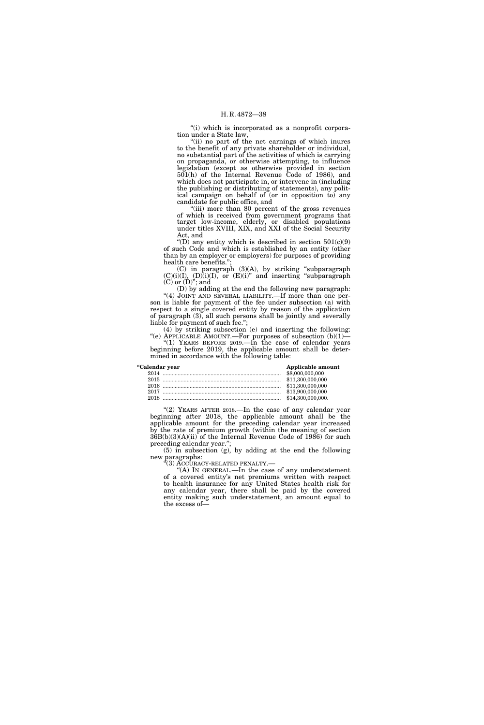"(i) which is incorporated as a nonprofit corporation under a State law,

"(ii) no part of the net earnings of which inures to the benefit of any private shareholder or individual, no substantial part of the activities of which is carrying on propaganda, or otherwise attempting, to influence legislation (except as otherwise provided in section 501(h) of the Internal Revenue Code of 1986), and which does not participate in, or intervene in (including the publishing or distributing of statements), any political campaign on behalf of (or in opposition to) any candidate for public office, and

''(iii) more than 80 percent of the gross revenues of which is received from government programs that target low-income, elderly, or disabled populations under titles XVIII, XIX, and XXI of the Social Security Act, and

"(D) any entity which is described in section  $501(c)(9)$ of such Code and which is established by an entity (other than by an employer or employers) for purposes of providing health care benefits."

(C) in paragraph (3)(A), by striking ''subparagraph  $(C)(i)(I), (D)(i)(I), or (E)(i)''$  and inserting "subparagraph"  $(C)$  or  $(D)$ "; and

(D) by adding at the end the following new paragraph: "(4) JOINT AND SEVERAL LIABILITY.—If more than one person is liable for payment of the fee under subsection (a) with respect to a single covered entity by reason of the application of paragraph (3), all such persons shall be jointly and severally liable for payment of such fee.'';

(4) by striking subsection (e) and inserting the following: "(e) APPLICABLE AMOUNT.—For purposes of subsection  $(b)(1)$ — "(1) YEARS BEFORE 2019.—In the case of calendar years

beginning before 2019, the applicable amount shall be determined in accordance with the following table:

| "Calendar year | Applicable amount |
|----------------|-------------------|
|                | \$8,000,000,000   |
|                |                   |
|                |                   |
|                | \$13,900,000,000  |
| 2018           | \$14,300,000,000. |

"(2) YEARS AFTER 2018. - In the case of any calendar year beginning after 2018, the applicable amount shall be the applicable amount for the preceding calendar year increased by the rate of premium growth (within the meaning of section 36B(b)(3)(A)(ii) of the Internal Revenue Code of 1986) for such preceding calendar year.'';

(5) in subsection (g), by adding at the end the following new paragraphs:<br>"(3) ACCURACY-RELATED PENALTY.—

"(A) In GENERAL.—In the case of any understatement of a covered entity's net premiums written with respect to health insurance for any United States health risk for any calendar year, there shall be paid by the covered entity making such understatement, an amount equal to the excess of—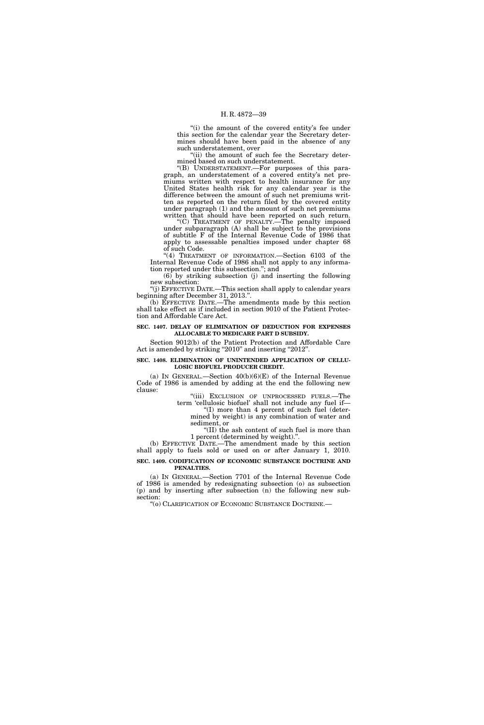"(i) the amount of the covered entity's fee under this section for the calendar year the Secretary determines should have been paid in the absence of any such understatement, over

"(ii) the amount of such fee the Secretary determined based on such understatement.

''(B) UNDERSTATEMENT.—For purposes of this paragraph, an understatement of a covered entity's net premiums written with respect to health insurance for any United States health risk for any calendar year is the difference between the amount of such net premiums written as reported on the return filed by the covered entity under paragraph (1) and the amount of such net premiums written that should have been reported on such return.

''(C) TREATMENT OF PENALTY.—The penalty imposed under subparagraph  $(A)$  shall be subject to the provisions of subtitle F of the Internal Revenue Code of 1986 that apply to assessable penalties imposed under chapter 68 of such Code.

"(4) TREATMENT OF INFORMATION.—Section 6103 of the Internal Revenue Code of 1986 shall not apply to any information reported under this subsection.''; and

 $(6)$  by striking subsection (j) and inserting the following new subsection:

''(j) EFFECTIVE DATE.—This section shall apply to calendar years beginning after December 31, 2013.''.

(b) EFFECTIVE DATE.—The amendments made by this section shall take effect as if included in section 9010 of the Patient Protection and Affordable Care Act.

# **SEC. 1407. DELAY OF ELIMINATION OF DEDUCTION FOR EXPENSES ALLOCABLE TO MEDICARE PART D SUBSIDY.**

Section 9012(b) of the Patient Protection and Affordable Care Act is amended by striking "2010" and inserting "2012".

# **SEC. 1408. ELIMINATION OF UNINTENDED APPLICATION OF CELLU-LOSIC BIOFUEL PRODUCER CREDIT.**

(a) IN GENERAL.—Section  $40(b)(6)(E)$  of the Internal Revenue Code of 1986 is amended by adding at the end the following new clause:

"(iii) EXCLUSION OF UNPROCESSED FUELS.—The term 'cellulosic biofuel' shall not include any fuel if—

''(I) more than 4 percent of such fuel (determined by weight) is any combination of water and sediment, or

''(II) the ash content of such fuel is more than 1 percent (determined by weight).''.

(b) EFFECTIVE DATE.—The amendment made by this section shall apply to fuels sold or used on or after January 1, 2010. **SEC. 1409. CODIFICATION OF ECONOMIC SUBSTANCE DOCTRINE AND PENALTIES.** 

(a) IN GENERAL.—Section 7701 of the Internal Revenue Code of 1986 is amended by redesignating subsection (o) as subsection (p) and by inserting after subsection (n) the following new subsection:

''(o) CLARIFICATION OF ECONOMIC SUBSTANCE DOCTRINE.—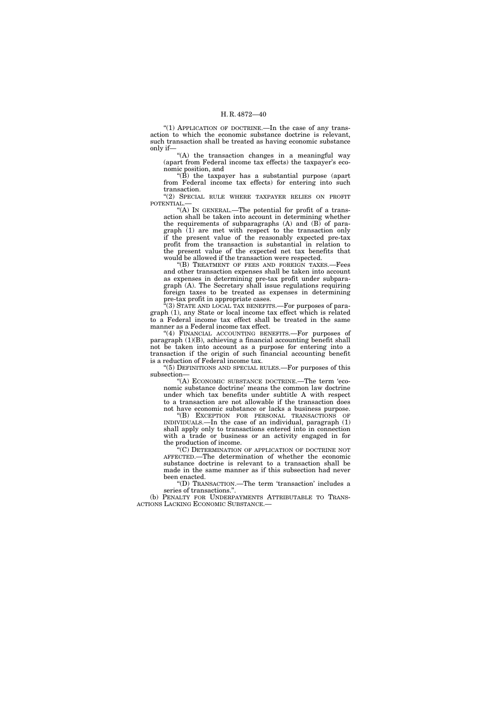"(1) APPLICATION OF DOCTRINE.—In the case of any transaction to which the economic substance doctrine is relevant, such transaction shall be treated as having economic substance only if—

''(A) the transaction changes in a meaningful way (apart from Federal income tax effects) the taxpayer's economic position, and

" $(\hat{B})$  the taxpayer has a substantial purpose (apart) from Federal income tax effects) for entering into such transaction.

"(2) SPECIAL RULE WHERE TAXPAYER RELIES ON PROFIT POTENTIAL.—

"(A) In GENERAL.—The potential for profit of a transaction shall be taken into account in determining whether the requirements of subparagraphs  $(A)$  and  $(B)$  of paragraph (1) are met with respect to the transaction only if the present value of the reasonably expected pre-tax profit from the transaction is substantial in relation to the present value of the expected net tax benefits that would be allowed if the transaction were respected.

''(B) TREATMENT OF FEES AND FOREIGN TAXES.—Fees and other transaction expenses shall be taken into account as expenses in determining pre-tax profit under subparagraph (A). The Secretary shall issue regulations requiring foreign taxes to be treated as expenses in determining pre-tax profit in appropriate cases.

 $(3)$  STATE AND LOCAL TAX BENEFITS.—For purposes of paragraph (1), any State or local income tax effect which is related to a Federal income tax effect shall be treated in the same manner as a Federal income tax effect.

''(4) FINANCIAL ACCOUNTING BENEFITS.—For purposes of paragraph (1)(B), achieving a financial accounting benefit shall not be taken into account as a purpose for entering into a transaction if the origin of such financial accounting benefit is a reduction of Federal income tax.

"(5) DEFINITIONS AND SPECIAL RULES.—For purposes of this subsection—

''(A) ECONOMIC SUBSTANCE DOCTRINE.—The term 'economic substance doctrine' means the common law doctrine under which tax benefits under subtitle A with respect to a transaction are not allowable if the transaction does not have economic substance or lacks a business purpose.

''(B) EXCEPTION FOR PERSONAL TRANSACTIONS OF INDIVIDUALS.—In the case of an individual, paragraph (1) shall apply only to transactions entered into in connection with a trade or business or an activity engaged in for the production of income.

''(C) DETERMINATION OF APPLICATION OF DOCTRINE NOT AFFECTED.—The determination of whether the economic substance doctrine is relevant to a transaction shall be made in the same manner as if this subsection had never been enacted.

''(D) TRANSACTION.—The term 'transaction' includes a series of transactions.''.

(b) PENALTY FOR UNDERPAYMENTS ATTRIBUTABLE TO TRANS-ACTIONS LACKING ECONOMIC SUBSTANCE.—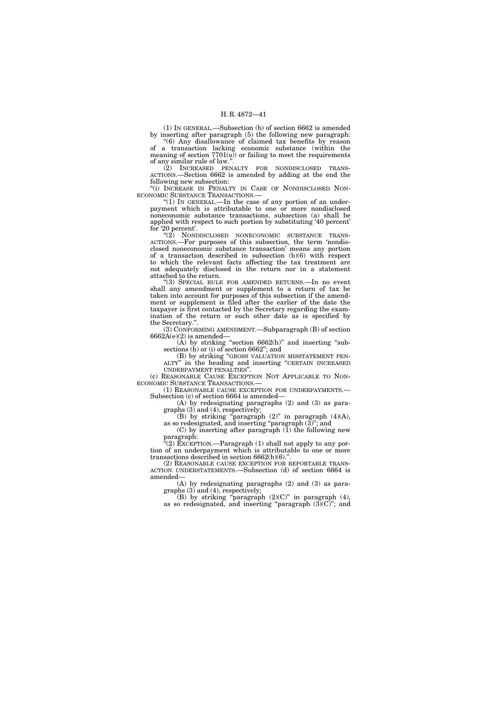(1) IN GENERAL.—Subsection (b) of section 6662 is amended by inserting after paragraph (5) the following new paragraph:

''(6) Any disallowance of claimed tax benefits by reason of a transaction lacking economic substance (within the meaning of section 7701(o)) or failing to meet the requirements of any similar rule of law.''.

(2) INCREASED PENALTY FOR NONDISCLOSED TRANS-ACTIONS.—Section 6662 is amended by adding at the end the following new subsection:

"(i) INCREASE IN PENALTY IN CASE OF NONDISCLOSED NONECONOMIC SUBSTANCE TRANSACTIONS.—

"(1) IN GENERAL.—In the case of any portion of an underpayment which is attributable to one or more nondisclosed noneconomic substance transactions, subsection (a) shall be applied with respect to such portion by substituting '40 percent' for '20 percent'.

''(2) NONDISCLOSED NONECONOMIC SUBSTANCE TRANS-ACTIONS.—For purposes of this subsection, the term 'nondisclosed noneconomic substance transaction' means any portion of a transaction described in subsection (b)(6) with respect to which the relevant facts affecting the tax treatment are not adequately disclosed in the return nor in a statement attached to the return.

''(3) SPECIAL RULE FOR AMENDED RETURNS.—In no event shall any amendment or supplement to a return of tax be taken into account for purposes of this subsection if the amendment or supplement is filed after the earlier of the date the taxpayer is first contacted by the Secretary regarding the examination of the return or such other date as is specified by the Secretary.''.

(3) CONFORMING AMENDMENT.—Subparagraph (B) of section  $6662A(e)(2)$  is amended—

 $(A)$  by striking "section 6662(h)" and inserting "sub-

sections (h) or (i) of section 6662"; and<br>(B) by striking "GROSS VALUATION MISSTATEMENT PEN-ALTY" in the heading and inserting "CERTAIN INCREASED UNDERPAYMENT PENALTIES''.

(c) REASONABLE CAUSE EXCEPTION NOT APPLICABLE TO NON-ECONOMIC SUBSTANCE TRANSACTIONS.—

(1) REASONABLE CAUSE EXCEPTION FOR UNDERPAYMENTS.— Subsection (c) of section 6664 is amended—

(A) by redesignating paragraphs (2) and (3) as paragraphs (3) and (4), respectively;

(B) by striking "paragraph  $(2)$ " in paragraph  $(4)(A)$ , as so redesignated, and inserting "paragraph  $(\bar{3})$ "; and

(C) by inserting after paragraph (1) the following new paragraph:

 $\mathcal{E}(2)$  EXCEPTION.—Paragraph (1) shall not apply to any portion of an underpayment which is attributable to one or more transactions described in section 6662(b)(6).".<br>(2) REASONABLE CAUSE EXCEPTION FOR REPORTABLE TRANS-

ACTION UNDERSTATEMENTS.—Subsection (d) of section 6664 is amended—

(A) by redesignating paragraphs (2) and (3) as paragraphs (3) and (4), respectively;

(B) by striking "paragraph  $(2)(C)$ " in paragraph  $(4)$ , as so redesignated, and inserting "paragraph  $(3)(C)$ "; and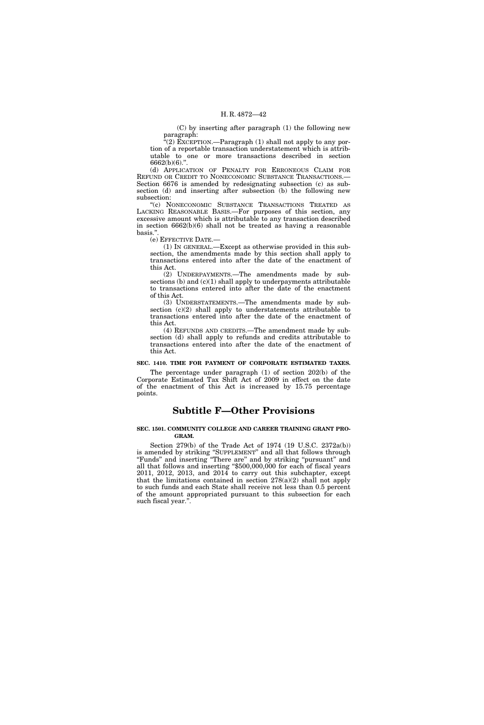(C) by inserting after paragraph (1) the following new paragraph:

 $\widetilde{E}(2)$  EXCEPTION.—Paragraph (1) shall not apply to any portion of a reportable transaction understatement which is attributable to one or more transactions described in section 6662(b)(6).''.

(d) APPLICATION OF PENALTY FOR ERRONEOUS CLAIM FOR REFUND OR CREDIT TO NONECONOMIC SUBSTANCE TRANSACTIONS.— Section 6676 is amended by redesignating subsection (c) as subsection (d) and inserting after subsection (b) the following new subsection:

''(c) NONECONOMIC SUBSTANCE TRANSACTIONS TREATED AS LACKING REASONABLE BASIS.—For purposes of this section, any excessive amount which is attributable to any transaction described in section 6662(b)(6) shall not be treated as having a reasonable basis.''.

(e) EFFECTIVE DATE.—

(1) IN GENERAL.—Except as otherwise provided in this subsection, the amendments made by this section shall apply to transactions entered into after the date of the enactment of this Act.

(2) UNDERPAYMENTS.—The amendments made by subsections (b) and  $(c)(1)$  shall apply to underpayments attributable to transactions entered into after the date of the enactment of this Act.

(3) UNDERSTATEMENTS.—The amendments made by subsection (c)(2) shall apply to understatements attributable to transactions entered into after the date of the enactment of this Act.

(4) REFUNDS AND CREDITS.—The amendment made by subsection (d) shall apply to refunds and credits attributable to transactions entered into after the date of the enactment of this Act.

### **SEC. 1410. TIME FOR PAYMENT OF CORPORATE ESTIMATED TAXES.**

The percentage under paragraph (1) of section 202(b) of the Corporate Estimated Tax Shift Act of 2009 in effect on the date of the enactment of this Act is increased by 15.75 percentage points.

# **Subtitle F—Other Provisions**

#### **SEC. 1501. COMMUNITY COLLEGE AND CAREER TRAINING GRANT PRO-GRAM.**

Section 279(b) of the Trade Act of 1974 (19 U.S.C. 2372a(b)) is amended by striking ''SUPPLEMENT'' and all that follows through ''Funds'' and inserting ''There are'' and by striking ''pursuant'' and all that follows and inserting ''\$500,000,000 for each of fiscal years 2011, 2012, 2013, and 2014 to carry out this subchapter, except that the limitations contained in section  $278(a)(2)$  shall not apply to such funds and each State shall receive not less than 0.5 percent of the amount appropriated pursuant to this subsection for each such fiscal year.''.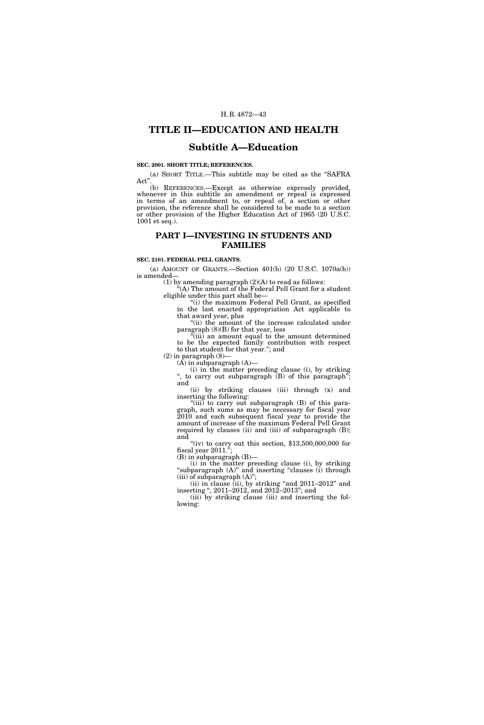# **TITLE II—EDUCATION AND HEALTH**

# **Subtitle A—Education**

# **SEC. 2001. SHORT TITLE; REFERENCES.**

(a) SHORT TITLE.—This subtitle may be cited as the ''SAFRA Act"

(b) REFERENCES.—Except as otherwise expressly provided, whenever in this subtitle an amendment or repeal is expressed in terms of an amendment to, or repeal of, a section or other provision, the reference shall be considered to be made to a section or other provision of the Higher Education Act of 1965 (20 U.S.C. 1001 et seq.).

# **PART I—INVESTING IN STUDENTS AND FAMILIES**

# **SEC. 2101. FEDERAL PELL GRANTS.**

(a) AMOUNT OF GRANTS.—Section 401(b) (20 U.S.C. 1070a(b)) is amended—

(1) by amending paragraph (2)(A) to read as follows:

''(A) The amount of the Federal Pell Grant for a student eligible under this part shall be—

''(i) the maximum Federal Pell Grant, as specified in the last enacted appropriation Act applicable to that award year, plus

"(ii) the amount of the increase calculated under paragraph (8)(B) for that year, less

''(iii) an amount equal to the amount determined to be the expected family contribution with respect to that student for that year.''; and

 $(2)$  in paragraph  $(8)$ -

 $(A)$  in subparagraph  $(A)$ —

(i) in the matter preceding clause (i), by striking ", to carry out subparagraph (B) of this paragraph"; and

(ii) by striking clauses (iii) through (x) and inserting the following:

"(iii) to carry out subparagraph (B) of this paragraph, such sums as may be necessary for fiscal year 2010 and each subsequent fiscal year to provide the amount of increase of the maximum Federal Pell Grant required by clauses (ii) and (iii) of subparagraph (B); and

"(iv) to carry out this section,  $$13,500,000,000$  for fiscal year 2011.'';

(B) in subparagraph (B)—

(i) in the matter preceding clause (i), by striking "subparagraph (A)" and inserting "clauses (i) through (iii) of subparagraph  $(A)$ ";

(ii) in clause (ii), by striking "and  $2011-2012$ " and inserting '', 2011–2012, and 2012–2013''; and

(iii) by striking clause (iii) and inserting the following: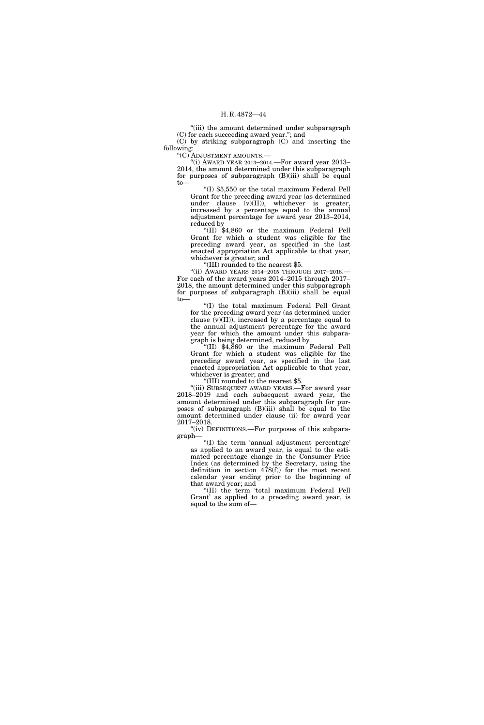''(iii) the amount determined under subparagraph (C) for each succeeding award year.''; and

(C) by striking subparagraph (C) and inserting the following:

''(C) ADJUSTMENT AMOUNTS.—

"(i) AWARD YEAR 2013-2014.—For award year 2013-2014, the amount determined under this subparagraph for purposes of subparagraph (B)(iii) shall be equal to—

''(I) \$5,550 or the total maximum Federal Pell Grant for the preceding award year (as determined under clause (v)(II)), whichever is greater, increased by a percentage equal to the annual adjustment percentage for award year 2013–2014, reduced by

''(II) \$4,860 or the maximum Federal Pell Grant for which a student was eligible for the preceding award year, as specified in the last enacted appropriation Act applicable to that year, whichever is greater; and

''(III) rounded to the nearest \$5.

''(ii) AWARD YEARS 2014–2015 THROUGH 2017–2018.— For each of the award years 2014–2015 through 2017– 2018, the amount determined under this subparagraph for purposes of subparagraph  $(B)(iii)$  shall be equal to—

''(I) the total maximum Federal Pell Grant for the preceding award year (as determined under clause  $\bar{v}(V)(II)$ , increased by a percentage equal to the annual adjustment percentage for the award year for which the amount under this subparagraph is being determined, reduced by

''(II) \$4,860 or the maximum Federal Pell Grant for which a student was eligible for the preceding award year, as specified in the last enacted appropriation Act applicable to that year, whichever is greater; and

''(III) rounded to the nearest \$5.

''(iii) SUBSEQUENT AWARD YEARS.—For award year 2018–2019 and each subsequent award year, the amount determined under this subparagraph for purposes of subparagraph (B)(iii) shall be equal to the amount determined under clause (ii) for award year 2017–2018.

"(iv) DEFINITIONS.—For purposes of this subparagraph—

''(I) the term 'annual adjustment percentage' as applied to an award year, is equal to the estimated percentage change in the Consumer Price Index (as determined by the Secretary, using the definition in section 478(f)) for the most recent calendar year ending prior to the beginning of that award year; and

''(II) the term 'total maximum Federal Pell Grant' as applied to a preceding award year, is equal to the sum of—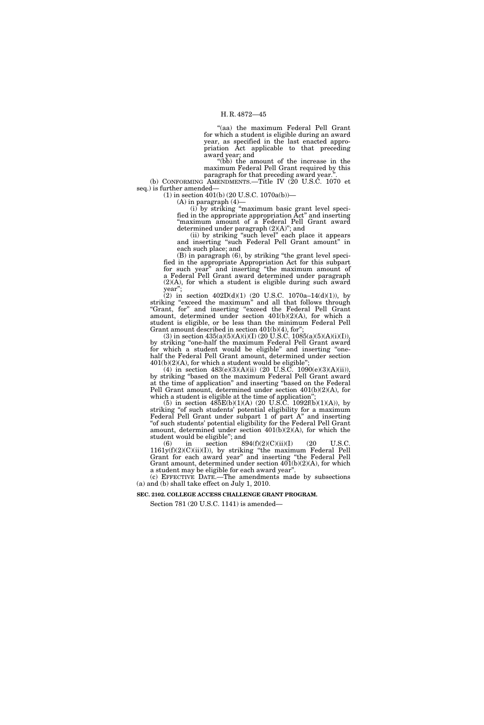''(aa) the maximum Federal Pell Grant for which a student is eligible during an award year, as specified in the last enacted appropriation Act applicable to that preceding award year; and

''(bb) the amount of the increase in the maximum Federal Pell Grant required by this paragraph for that preceding award year.

(b) CONFORMING AMENDMENTS.—Title IV (20 U.S.C. 1070 et seq.) is further amended—

(1) in section 401(b) (20 U.S.C. 1070a(b))—

(A) in paragraph (4)—

(i) by striking ''maximum basic grant level specified in the appropriate appropriation Act'' and inserting "maximum amount of a Federal Pell Grant award determined under paragraph (2)(A)''; and

(ii) by striking ''such level'' each place it appears and inserting ''such Federal Pell Grant amount'' in each such place; and

(B) in paragraph (6), by striking ''the grant level specified in the appropriate Appropriation Act for this subpart for such year'' and inserting ''the maximum amount of a Federal Pell Grant award determined under paragraph (2)(A), for which a student is eligible during such award year'';

(2) in section  $402D(d)(1)$  (20 U.S.C. 1070a–14(d)(1)), by striking "exceed the maximum" and all that follows through "Grant, for" and inserting "exceed the Federal Pell Grant amount, determined under section 401(b)(2)(A), for which a student is eligible, or be less than the minimum Federal Pell Grant amount described in section 401(b)(4), for'';

(3) in section  $435(a)(5)(A)(i)(I)$  (20 U.S.C. 1085(a)(5)(A)(i)(I)), by striking ''one-half the maximum Federal Pell Grant award for which a student would be eligible'' and inserting ''onehalf the Federal Pell Grant amount, determined under section  $401(b)(2)(A)$ , for which a student would be eligible"

(4) in section  $483(e)(3)(A)(ii)$  (20 U.S.C. 1090(e)(3)(A)(ii)), by striking ''based on the maximum Federal Pell Grant award at the time of application'' and inserting ''based on the Federal Pell Grant amount, determined under section 401(b)(2)(A), for which a student is eligible at the time of application"

(5) in section  $485E(b)(1)(A)$  (20 U.S.C. 1092f(b)(1)(A)), by striking ''of such students' potential eligibility for a maximum Federal Pell Grant under subpart 1 of part A'' and inserting ''of such students' potential eligibility for the Federal Pell Grant amount, determined under section 401(b)(2)(A), for which the student would be eligible"; and<br>  $(6)$  in section  $894(f)(2)(C)(ii)(I)$ 

(6) in section  $894(f)(2)(C)(ii)(I)$  (20 U.S.C.  $1161y(f)(2)(C)(ii)(I)$ , by striking "the maximum Federal Pell Grant for each award year'' and inserting ''the Federal Pell Grant amount, determined under section 401(b)(2)(A), for which a student may be eligible for each award year''.

(c) EFFECTIVE DATE.—The amendments made by subsections (a) and (b) shall take effect on July 1, 2010.

**SEC. 2102. COLLEGE ACCESS CHALLENGE GRANT PROGRAM.** 

Section 781 (20 U.S.C. 1141) is amended—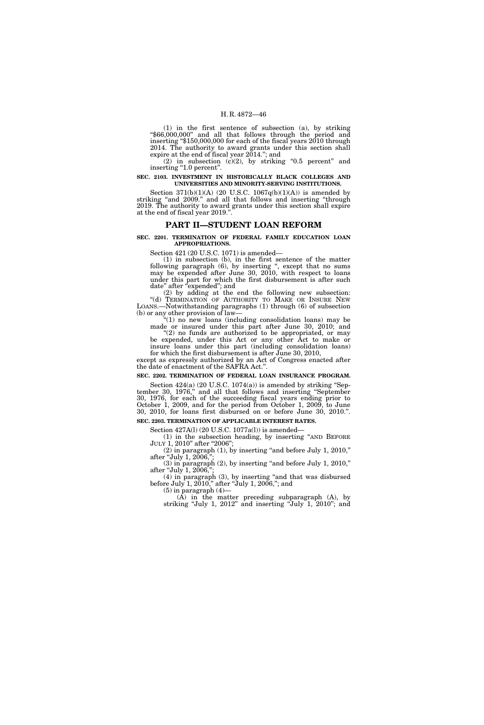(1) in the first sentence of subsection (a), by striking ''\$66,000,000'' and all that follows through the period and inserting ''\$150,000,000 for each of the fiscal years 2010 through 2014. The authority to award grants under this section shall expire at the end of fiscal year 2014.''; and

(2) in subsection  $(c)(2)$ , by striking "0.5 percent" and inserting "1.0 percent".

**SEC. 2103. INVESTMENT IN HISTORICALLY BLACK COLLEGES AND UNIVERSITIES AND MINORITY-SERVING INSTITUTIONS.** 

Section  $371(b)(1)(A)$  (20 U.S.C.  $1067q(b)(1)(A)$ ) is amended by striking "and 2009." and all that follows and inserting "through 2019. The authority to award grants under this section shall expire at the end of fiscal year 2019."

# **PART II—STUDENT LOAN REFORM**

# **SEC. 2201. TERMINATION OF FEDERAL FAMILY EDUCATION LOAN APPROPRIATIONS.**

Section 421 (20 U.S.C. 1071) is amended—

(1) in subsection (b), in the first sentence of the matter following paragraph (6), by inserting ", except that no sums may be expended after June 30, 2010, with respect to loans under this part for which the first disbursement is after such date'' after ''expended''; and

(2) by adding at the end the following new subsection: "(d) TERMINATION OF AUTHORITY TO MAKE OR INSURE NEW LOANS.—Notwithstanding paragraphs (1) through (6) of subsection (b) or any other provision of law—

" $(1)$  no new loans (including consolidation loans) may be made or insured under this part after June 30, 2010; and

 $(2)$  no funds are authorized to be appropriated, or may be expended, under this Act or any other Act to make or insure loans under this part (including consolidation loans)

for which the first disbursement is after June 30, 2010, except as expressly authorized by an Act of Congress enacted after the date of enactment of the SAFRA Act.''.

**SEC. 2202. TERMINATION OF FEDERAL LOAN INSURANCE PROGRAM.** 

Section 424(a) (20 U.S.C. 1074(a)) is amended by striking "September 30, 1976,'' and all that follows and inserting ''September 30, 1976, for each of the succeeding fiscal years ending prior to October 1, 2009, and for the period from October 1, 2009, to June 30, 2010, for loans first disbursed on or before June 30, 2010.''.

**SEC. 2203. TERMINATION OF APPLICABLE INTEREST RATES.** 

Section 427A(l) (20 U.S.C. 1077a(l)) is amended— (1) in the subsection heading, by inserting ''AND BEFORE JULY 1, 2010" after "2006";

 $(2)$  in paragraph  $(1)$ , by inserting "and before July 1, 2010," after "July 1, 2006,"

 $(3)$  in paragraph  $(2)$ , by inserting "and before July 1, 2010," after "July 1, 2006,"

(4) in paragraph (3), by inserting ''and that was disbursed before July 1, 2010," after "July 1, 2006,"; and

 $(5)$  in paragraph  $(4)$ —

(A) in the matter preceding subparagraph (A), by striking "July 1, 2012" and inserting "July 1, 2010"; and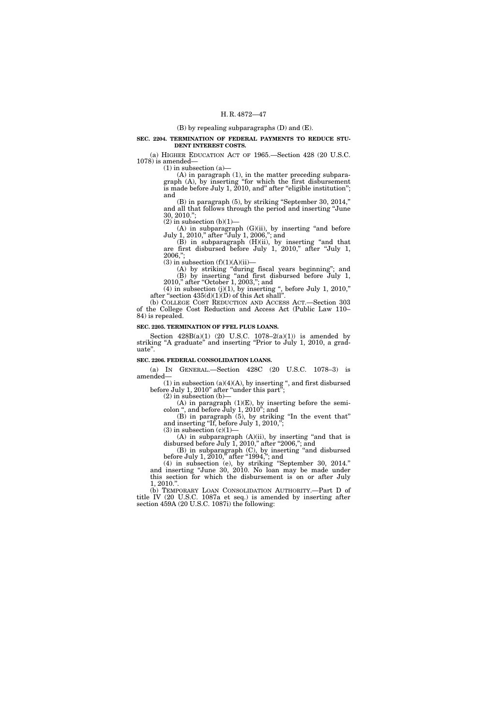# (B) by repealing subparagraphs (D) and (E).

## **SEC. 2204. TERMINATION OF FEDERAL PAYMENTS TO REDUCE STU-DENT INTEREST COSTS.**

(a) HIGHER EDUCATION ACT OF 1965.—Section 428 (20 U.S.C. 1078) is amended—

 $(1)$  in subsection  $(a)$ 

(A) in paragraph (1), in the matter preceding subparagraph (A), by inserting ''for which the first disbursement is made before July 1, 2010, and" after "eligible institution"; and

(B) in paragraph (5), by striking ''September 30, 2014,'' and all that follows through the period and inserting ''June 30, 2010.'';  $(2)$  in subsection  $(b)(1)$ —

 $(A)$  in subparagraph  $(G)(ii)$ , by inserting "and before July 1, 2010,'' after ''July 1, 2006,''; and

(B) in subparagraph (H)(ii), by inserting ''and that are first disbursed before July 1, 2010,'' after ''July 1, 2006,'';

 $(3)$  in subsection  $(f)(1)(A)(ii)$ —

(A) by striking ''during fiscal years beginning''; and (B) by inserting ''and first disbursed before July 1, 2010," after "October 1, 2003,"; and

 $(4)$  in subsection  $(j)(1)$ , by inserting ", before July 1, 2010," after "section  $435(d)(1)(D)$  of this Act shall".

(b) COLLEGE COST REDUCTION AND ACCESS ACT.—Section 303 of the College Cost Reduction and Access Act (Public Law 110– 84) is repealed.

# **SEC. 2205. TERMINATION OF FFEL PLUS LOANS.**

Section  $428B(a)(1)$  (20 U.S.C. 1078–2(a)(1)) is amended by striking "A graduate" and inserting "Prior to July 1, 2010, a graduate''.

# **SEC. 2206. FEDERAL CONSOLIDATION LOANS.**

(a) IN GENERAL.—Section 428C (20 U.S.C. 1078–3) is amended—

 $(1)$  in subsection  $(a)(4)(A)$ , by inserting ", and first disbursed before July 1, 2010" after "under this part";

 $(2)$  in subsection  $(b)$ –

 $(A)$  in paragraph  $(1)(E)$ , by inserting before the semicolon '', and before July 1, 2010''; and

(B) in paragraph (5), by striking ''In the event that'' and inserting "If, before July 1, 2010,";

 $(3)$  in subsection  $(c)(1)$ 

 $(A)$  in subparagraph  $(A)(ii)$ , by inserting "and that is disbursed before July 1, 2010," after "2006,"; and

(B) in subparagraph (C), by inserting ''and disbursed before July 1, 2010," after "1994,"; and

(4) in subsection (e), by striking ''September 30, 2014.'' and inserting ''June 30, 2010. No loan may be made under this section for which the disbursement is on or after July 1, 2010.''.

(b) TEMPORARY LOAN CONSOLIDATION AUTHORITY.--Part D of title IV (20 U.S.C. 1087a et seq.) is amended by inserting after section 459A (20 U.S.C. 1087i) the following: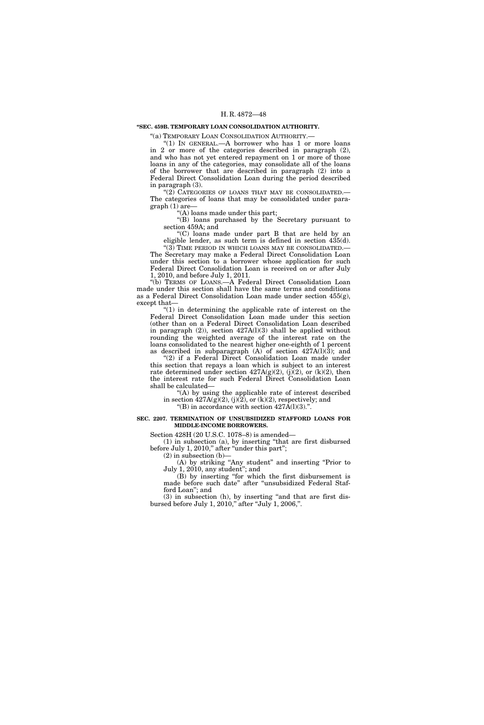# **''SEC. 459B. TEMPORARY LOAN CONSOLIDATION AUTHORITY.**

"(a) TEMPORARY LOAN CONSOLIDATION AUTHORITY.-

''(1) IN GENERAL.—A borrower who has 1 or more loans in 2 or more of the categories described in paragraph (2), and who has not yet entered repayment on 1 or more of those loans in any of the categories, may consolidate all of the loans of the borrower that are described in paragraph (2) into a Federal Direct Consolidation Loan during the period described in paragraph (3).

"(2) CATEGORIES OF LOANS THAT MAY BE CONSOLIDATED. The categories of loans that may be consolidated under paragraph (1) are—

(A) loans made under this part;

''(B) loans purchased by the Secretary pursuant to section 459A; and

''(C) loans made under part B that are held by an eligible lender, as such term is defined in section 435(d). "(3) TIME PERIOD IN WHICH LOANS MAY BE CONSOLIDATED.

The Secretary may make a Federal Direct Consolidation Loan under this section to a borrower whose application for such Federal Direct Consolidation Loan is received on or after July 1, 2010, and before July 1, 2011.

''(b) TERMS OF LOANS.—A Federal Direct Consolidation Loan made under this section shall have the same terms and conditions as a Federal Direct Consolidation Loan made under section 455(g), except that—

 $(1)$  in determining the applicable rate of interest on the Federal Direct Consolidation Loan made under this section (other than on a Federal Direct Consolidation Loan described in paragraph  $(2)$ ), section  $427A(1)(3)$  shall be applied without rounding the weighted average of the interest rate on the loans consolidated to the nearest higher one-eighth of 1 percent as described in subparagraph  $(A)$  of section 427A(l)(3); and

(2) if a Federal Direct Consolidation Loan made under this section that repays a loan which is subject to an interest rate determined under section  $427A(g)(2)$ , (j)(2), or (k)(2), then the interest rate for such Federal Direct Consolidation Loan shall be calculated—

"(A) by using the applicable rate of interest described in section  $427A(g)(2)$ , (j)(2), or (k)(2), respectively; and

"(B) in accordance with section  $427\text{\AA}(l)(3)$ .".

# **SEC. 2207. TERMINATION OF UNSUBSIDIZED STAFFORD LOANS FOR MIDDLE-INCOME BORROWERS.**

Section 428H (20 U.S.C. 1078–8) is amended—

(1) in subsection (a), by inserting ''that are first disbursed before July 1, 2010," after "under this part";

 $(2)$  in subsection  $(b)$ —

(A) by striking ''Any student'' and inserting ''Prior to July 1, 2010, any student''; and

(B) by inserting ''for which the first disbursement is made before such date'' after ''unsubsidized Federal Stafford Loan''; and

(3) in subsection (h), by inserting "and that are first disbursed before July 1, 2010,'' after ''July 1, 2006,''.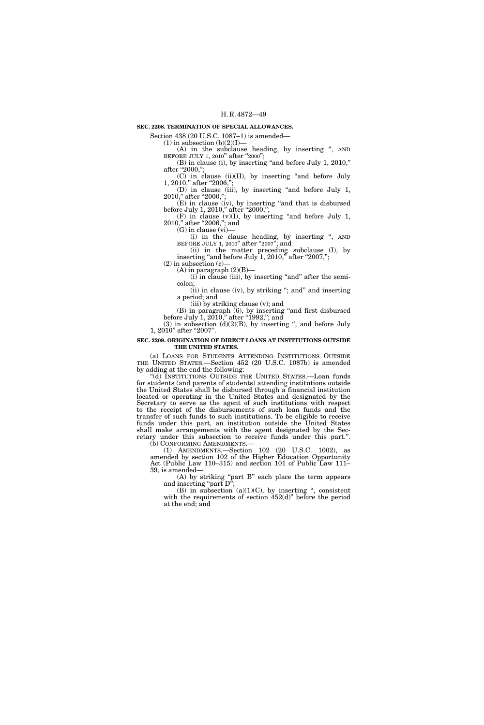# **SEC. 2208. TERMINATION OF SPECIAL ALLOWANCES.**

Section 438 (20 U.S.C. 1087-1) is amended-

 $(1)$  in subsection  $(b)(2)(I)$ —

(A) in the subclause heading, by inserting '', AND BEFORE JULY 1, 2010" after "2000";

(B) in clause (i), by inserting ''and before July 1, 2010,'' after "2000,";

(C) in clause (ii)(II), by inserting ''and before July 1, 2010," after "2006,";

(D) in clause (iii), by inserting ''and before July 1, 2010," after "2000,";

(E) in clause (iv), by inserting ''and that is disbursed before July 1, 2010," after "2000,";

 $(F)$  in clause  $(v)(I)$ , by inserting "and before July 1, 2010," after "2006,"; and

 $(G)$  in clause  $(vi)$ –

(i) in the clause heading, by inserting '', AND BEFORE JULY 1, 2010" after "2007"; and

(ii) in the matter preceding subclause (I), by inserting "and before July  $1, 2010,$ " after "2007,";

 $(2)$  in subsection  $(c)$ -

(A) in paragraph  $(2)(B)$ —

 $(i)$  in clause (iii), by inserting "and" after the semicolon;

(ii) in clause (iv), by striking ''; and'' and inserting a period; and

(iii) by striking clause (v); and

 $(B)$  in paragraph  $(6)$ , by inserting "and first disbursed before July 1, 2010," after "1992,"; and

(3) in subsection  $(d)(2)(B)$ , by inserting ", and before July 1, 2010" after "2007".

# **SEC. 2209. ORIGINATION OF DIRECT LOANS AT INSTITUTIONS OUTSIDE THE UNITED STATES.**

(a) LOANS FOR STUDENTS ATTENDING INSTITUTIONS OUTSIDE THE UNITED STATES.—Section 452 (20 U.S.C. 1087b) is amended by adding at the end the following:

''(d) INSTITUTIONS OUTSIDE THE UNITED STATES.—Loan funds for students (and parents of students) attending institutions outside the United States shall be disbursed through a financial institution located or operating in the United States and designated by the Secretary to serve as the agent of such institutions with respect to the receipt of the disbursements of such loan funds and the transfer of such funds to such institutions. To be eligible to receive funds under this part, an institution outside the United States shall make arrangements with the agent designated by the Secretary under this subsection to receive funds under this part.''. (b) CONFORMING AMENDMENTS.—

(1) AMENDMENTS.—Section 102 (20 U.S.C. 1002), as

amended by section 102 of the Higher Education Opportunity Act (Public Law 110–315) and section 101 of Public Law 111– 39, is amended—

(A) by striking ''part B'' each place the term appears and inserting "part  $D$ ";

(B) in subsection  $(a)(1)(C)$ , by inserting ", consistent with the requirements of section 452(d)" before the period at the end; and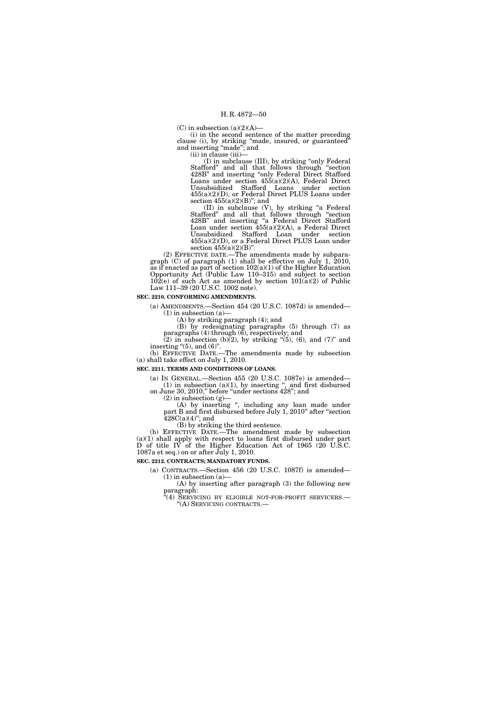(C) in subsection  $(a)(2)(A)$ —

(i) in the second sentence of the matter preceding clause (i), by striking ''made, insured, or guaranteed'' and inserting ''made''; and

(ii) in clause (iii)—

(I) in subclause (III), by striking ''only Federal Stafford'' and all that follows through ''section 428B'' and inserting ''only Federal Direct Stafford Loans under section 455(a)(2)(A), Federal Direct Unsubsidized Stafford Loans under section 455(a)(2)(D), or Federal Direct PLUS Loans under section  $455(a)(2)(B)$ "; and

(II) in subclause (V), by striking ''a Federal Stafford'' and all that follows through ''section 428B'' and inserting ''a Federal Direct Stafford Loan under section 455(a)(2)(A), a Federal Direct Unsubsidized Stafford Loan under section 455(a)(2)(D), or a Federal Direct PLUS Loan under section 455(a)(2)(B)".

(2) EFFECTIVE DATE.—The amendments made by subparagraph  $(C)$  of paragraph  $(1)$  shall be effective on July 1, 2010, as if enacted as part of section 102(a)(1) of the Higher Education Opportunity Act (Public Law 110–315) and subject to section  $10\overline{2}$ (e) of such Act as amended by section  $101(a)(2)$  of Public Law 111–39 (20 U.S.C. 1002 note).

# **SEC. 2210. CONFORMING AMENDMENTS.**

(a) AMENDMENTS.—Section 454 (20 U.S.C. 1087d) is amended—  $(1)$  in subsection  $(a)$ 

(A) by striking paragraph (4); and

(B) by redesignating paragraphs (5) through (7) as paragraphs (4) through (6), respectively; and

 $(2)$  in subsection (b) $(2)$ , by striking " $(5)$ ,  $(6)$ , and  $(7)$ " and inserting  $\degree(5)$ , and  $(6)$ ".

(b) EFFECTIVE DATE.—The amendments made by subsection (a) shall take effect on July 1, 2010.

# **SEC. 2211. TERMS AND CONDITIONS OF LOANS.**

(a) IN GENERAL.—Section 455 (20 U.S.C. 1087e) is amended—  $(1)$  in subsection  $(a)(1)$ , by inserting ", and first disbursed

on June 30, 2010,'' before ''under sections 428''; and

 $(2)$  in subsection  $(g)$ —

(A) by inserting '', including any loan made under part B and first disbursed before July 1, 2010'' after ''section  $428C(a)(4)$ "; and

(B) by striking the third sentence.

(b) EFFECTIVE DATE.—The amendment made by subsection (a)(1) shall apply with respect to loans first disbursed under part D of title IV of the Higher Education Act of 1965 (20 U.S.C. 1087a et seq.) on or after July 1, 2010.

# **SEC. 2212. CONTRACTS; MANDATORY FUNDS.**

(a) CONTRACTS.—Section 456 (20 U.S.C. 1087f) is amended—  $(1)$  in subsection  $(a)$ —

(A) by inserting after paragraph (3) the following new paragraph:

"(4) SERVICING BY ELIGIBLE NOT-FOR-PROFIT SERVICERS.— ''(A) SERVICING CONTRACTS.—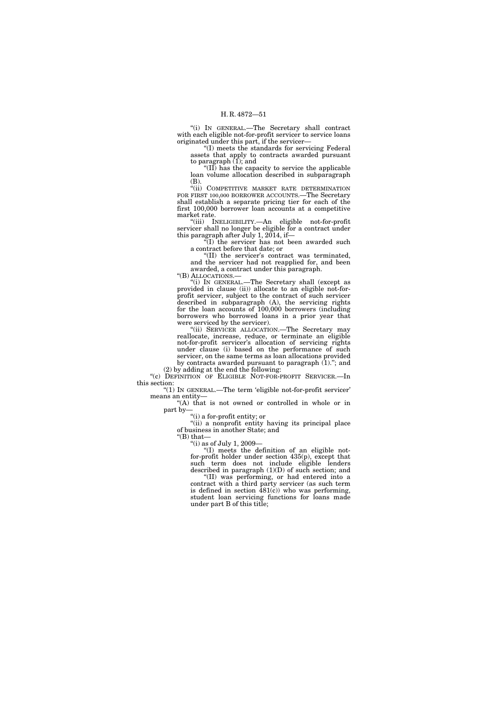''(i) IN GENERAL.—The Secretary shall contract with each eligible not-for-profit servicer to service loans originated under this part, if the servicer—

''(I) meets the standards for servicing Federal assets that apply to contracts awarded pursuant to paragraph  $(1)$ ; and

''(II) has the capacity to service the applicable loan volume allocation described in subparagraph (B).

''(ii) COMPETITIVE MARKET RATE DETERMINATION FOR FIRST 100,000 BORROWER ACCOUNTS.—The Secretary shall establish a separate pricing tier for each of the first 100,000 borrower loan accounts at a competitive market rate.

''(iii) INELIGIBILITY.—An eligible not-for-profit servicer shall no longer be eligible for a contract under this paragraph after July 1, 2014, if—

 $\sqrt[\text{i}]{(I)}$  the servicer has not been awarded such a contract before that date; or

''(II) the servicer's contract was terminated, and the servicer had not reapplied for, and been awarded, a contract under this paragraph.

''(B) ALLOCATIONS.—

''(i) IN GENERAL.—The Secretary shall (except as provided in clause (ii)) allocate to an eligible not-forprofit servicer, subject to the contract of such servicer described in subparagraph (A), the servicing rights for the loan accounts of 100,000 borrowers (including borrowers who borrowed loans in a prior year that were serviced by the servicer).

"(ii) SERVICER ALLOCATION. The Secretary may reallocate, increase, reduce, or terminate an eligible not-for-profit servicer's allocation of servicing rights under clause (i) based on the performance of such servicer, on the same terms as loan allocations provided by contracts awarded pursuant to paragraph  $(1)$ ."; and

(2) by adding at the end the following: "(c) DEFINITION OF ELIGIBLE NOT-FOR-PROFIT SERVICER.-In this section:

" $(1)$  In GENERAL.—The term 'eligible not-for-profit servicer' means an entity—

''(A) that is not owned or controlled in whole or in part by—

''(i) a for-profit entity; or

"(ii) a nonprofit entity having its principal place of business in another State; and

''(B) that— "(i) as of July 1, 2009-

''(I) meets the definition of an eligible notfor-profit holder under section 435(p), except that such term does not include eligible lenders described in paragraph (1)(D) of such section; and ''(II) was performing, or had entered into a

contract with a third party servicer (as such term is defined in section  $481(c)$  who was performing, student loan servicing functions for loans made under part B of this title;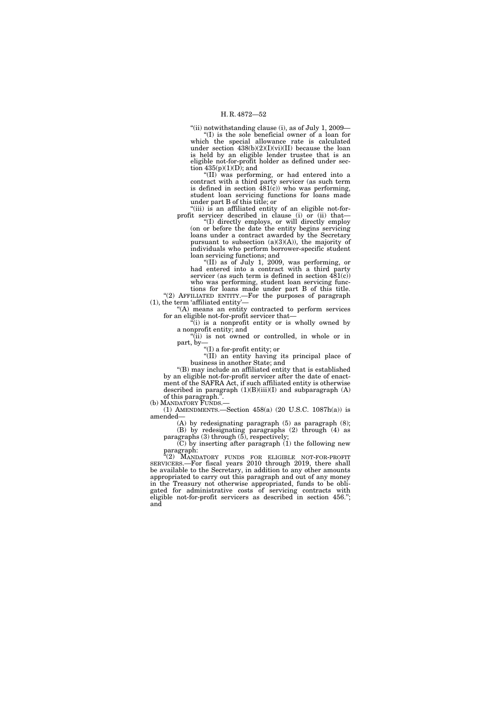"(ii) notwithstanding clause (i), as of July 1, 2009– ''(I) is the sole beneficial owner of a loan for which the special allowance rate is calculated under section  $438(b)(2)(I)(vi)(II)$  because the loan is held by an eligible lender trustee that is an eligible not-for-profit holder as defined under sec-

tion  $435(p)(1)(D)$ ; and ''(II) was performing, or had entered into a contract with a third party servicer (as such term is defined in section  $\overline{481(c)}$  who was performing, student loan servicing functions for loans made under part B of this title; or

"(iii) is an affiliated entity of an eligible not-forprofit servicer described in clause (i) or (ii) that—

''(I) directly employs, or will directly employ (on or before the date the entity begins servicing loans under a contract awarded by the Secretary pursuant to subsection (a)(3)(A)), the majority of individuals who perform borrower-specific student loan servicing functions; and

''(II) as of July 1, 2009, was performing, or had entered into a contract with a third party servicer (as such term is defined in section  $481(c)$ ) who was performing, student loan servicing functions for loans made under part B of this title.

"(2) AFFILIATED ENTITY.—For the purposes of paragraph (1), the term 'affiliated entity'—

''(A) means an entity contracted to perform services for an eligible not-for-profit servicer that—

 $\tilde{f}(i)$  is a nonprofit entity or is wholly owned by a nonprofit entity; and

''(ii) is not owned or controlled, in whole or in part, by—

"(I) a for-profit entity; or

''(II) an entity having its principal place of business in another State; and

''(B) may include an affiliated entity that is established by an eligible not-for-profit servicer after the date of enactment of the SAFRA Act, if such affiliated entity is otherwise described in paragraph  $(1)(B)(iii)(I)$  and subparagraph  $(A)$ of this paragraph.''.

(b) MANDATORY FUNDS.—

(1) AMENDMENTS.—Section 458(a) (20 U.S.C. 1087h(a)) is amended—

(A) by redesignating paragraph (5) as paragraph (8); (B) by redesignating paragraphs (2) through (4) as

paragraphs (3) through (5), respectively;  $(C)$  by inserting after paragraph  $(1)$  the following new paragraph:

''(2) MANDATORY FUNDS FOR ELIGIBLE NOT-FOR-PROFIT SERVICERS.—For fiscal years 2010 through 2019, there shall be available to the Secretary, in addition to any other amounts appropriated to carry out this paragraph and out of any money in the Treasury not otherwise appropriated, funds to be obligated for administrative costs of servicing contracts with eligible not-for-profit servicers as described in section 456.''; and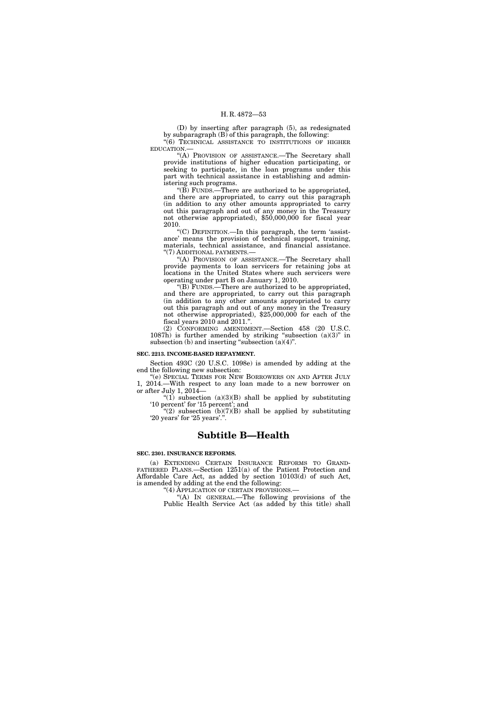(D) by inserting after paragraph (5), as redesignated by subparagraph  $(B)$  of this paragraph, the following: "(6) TECHNICAL ASSISTANCE TO INSTITUTIONS OF HIGHER EDUCATION.—

"(A) PROVISION OF ASSISTANCE.-The Secretary shall provide institutions of higher education participating, or seeking to participate, in the loan programs under this part with technical assistance in establishing and administering such programs.

" $(B)$  FUNDS.—There are authorized to be appropriated, and there are appropriated, to carry out this paragraph (in addition to any other amounts appropriated to carry out this paragraph and out of any money in the Treasury not otherwise appropriated), \$50,000,000 for fiscal year 2010.

''(C) DEFINITION.—In this paragraph, the term 'assistance' means the provision of technical support, training, materials, technical assistance, and financial assistance. "(7) ADDITIONAL PAYMENTS.-

"(A) PROVISION OF ASSISTANCE.—The Secretary shall provide payments to loan servicers for retaining jobs at locations in the United States where such servicers were operating under part B on January 1, 2010.

''(B) FUNDS.—There are authorized to be appropriated, and there are appropriated, to carry out this paragraph (in addition to any other amounts appropriated to carry out this paragraph and out of any money in the Treasury not otherwise appropriated), \$25,000,000 for each of the fiscal years 2010 and 2011.''.

(2) CONFORMING AMENDMENT.—Section 458 (20 U.S.C. 1087h) is further amended by striking "subsection  $(a)(3)$ " in subsection (b) and inserting "subsection  $\overline{a}(4)$ ".

# **SEC. 2213. INCOME-BASED REPAYMENT.**

Section 493C (20 U.S.C. 1098e) is amended by adding at the end the following new subsection:

''(e) SPECIAL TERMS FOR NEW BORROWERS ON AND AFTER JULY 1, 2014.—With respect to any loan made to a new borrower on or after July 1, 2014—

"(1) subsection  $(a)(3)(B)$  shall be applied by substituting '10 percent' for '15 percent'; and

"(2) subsection  $(b)(7)(B)$  shall be applied by substituting '20 years' for '25 years'.'

# **Subtitle B—Health**

# **SEC. 2301. INSURANCE REFORMS.**

(a) EXTENDING CERTAIN INSURANCE REFORMS TO GRAND-FATHERED PLANS.—Section 1251(a) of the Patient Protection and Affordable Care Act, as added by section 10103(d) of such Act, is amended by adding at the end the following:

''(4) APPLICATION OF CERTAIN PROVISIONS.—

"(A) In GENERAL.—The following provisions of the Public Health Service Act (as added by this title) shall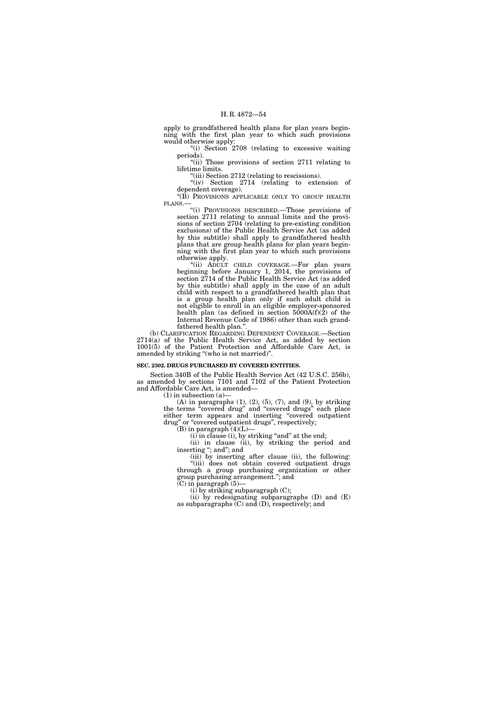apply to grandfathered health plans for plan years beginning with the first plan year to which such provisions would otherwise apply:

''(i) Section 2708 (relating to excessive waiting periods).

"(ii) Those provisions of section 2711 relating to lifetime limits.

''(iii) Section 2712 (relating to rescissions).

''(iv) Section 2714 (relating to extension of dependent coverage).

"(B) PROVISIONS APPLICABLE ONLY TO GROUP HEALTH PLANS.

''(i) PROVISIONS DESCRIBED.—Those provisions of section 2711 relating to annual limits and the provisions of section 2704 (relating to pre-existing condition exclusions) of the Public Health Service Act (as added by this subtitle) shall apply to grandfathered health plans that are group health plans for plan years beginning with the first plan year to which such provisions otherwise apply.

"(ii) ADULT CHILD COVERAGE.—For plan years beginning before January 1, 2014, the provisions of section 2714 of the Public Health Service Act (as added by this subtitle) shall apply in the case of an adult child with respect to a grandfathered health plan that is a group health plan only if such adult child is not eligible to enroll in an eligible employer-sponsored health plan (as defined in section  $5000A(f)(2)$  of the Internal Revenue Code of 1986) other than such grandfathered health plan.''.

(b) CLARIFICATION REGARDING DEPENDENT COVERAGE.—Section 2714(a) of the Public Health Service Act, as added by section 1001(5) of the Patient Protection and Affordable Care Act, is amended by striking ''(who is not married)''.

# **SEC. 2302. DRUGS PURCHASED BY COVERED ENTITIES.**

Section 340B of the Public Health Service Act (42 U.S.C. 256b), as amended by sections 7101 and 7102 of the Patient Protection and Affordable Care Act, is amended—

 $(1)$  in subsection  $(a)$ 

 $(A)$  in paragraphs  $(1)$ ,  $(2)$ ,  $(5)$ ,  $(7)$ , and  $(9)$ , by striking the terms "covered drug" and "covered drugs" each place either term appears and inserting "covered outpatient drug" or "covered outpatient drugs", respectively;  $(B)$  in paragraph  $(4)(L)$ —

 $(i)$  in clause  $(i)$ , by striking "and" at the end; (ii) in clause (ii), by striking the period and inserting "; and "; and

(iii) by inserting after clause (ii), the following: ''(iii) does not obtain covered outpatient drugs through a group purchasing organization or other group purchasing arrangement.''; and

 $(C)$  in paragraph  $(5)$ —

(i) by striking subparagraph (C);

(ii) by redesignating subparagraphs (D) and (E) as subparagraphs  $(C)$  and  $(D)$ , respectively; and